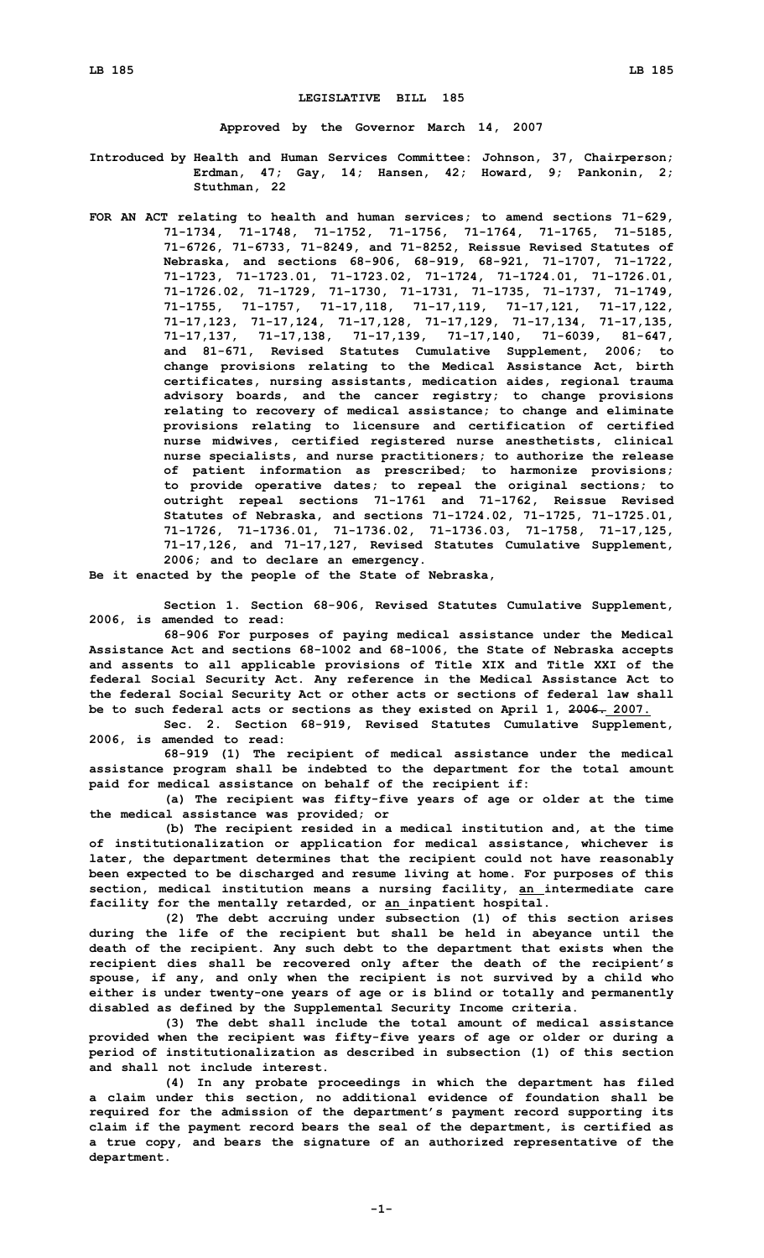## **LEGISLATIVE BILL 185**

**Approved by the Governor March 14, 2007**

- **Introduced by Health and Human Services Committee: Johnson, 37, Chairperson; Erdman, 47; Gay, 14; Hansen, 42; Howard, 9; Pankonin, 2; Stuthman, 22**
- **FOR AN ACT relating to health and human services; to amend sections 71-629, 71-1734, 71-1748, 71-1752, 71-1756, 71-1764, 71-1765, 71-5185, 71-6726, 71-6733, 71-8249, and 71-8252, Reissue Revised Statutes of Nebraska, and sections 68-906, 68-919, 68-921, 71-1707, 71-1722, 71-1723, 71-1723.01, 71-1723.02, 71-1724, 71-1724.01, 71-1726.01, 71-1726.02, 71-1729, 71-1730, 71-1731, 71-1735, 71-1737, 71-1749, 71-1755, 71-1757, 71-17,118, 71-17,119, 71-17,121, 71-17,122, 71-17,123, 71-17,124, 71-17,128, 71-17,129, 71-17,134, 71-17,135, 71-17,137, 71-17,138, 71-17,139, 71-17,140, 71-6039, 81-647, and 81-671, Revised Statutes Cumulative Supplement, 2006; to change provisions relating to the Medical Assistance Act, birth certificates, nursing assistants, medication aides, regional trauma advisory boards, and the cancer registry; to change provisions relating to recovery of medical assistance; to change and eliminate provisions relating to licensure and certification of certified nurse midwives, certified registered nurse anesthetists, clinical nurse specialists, and nurse practitioners; to authorize the release of patient information as prescribed; to harmonize provisions; to provide operative dates; to repeal the original sections; to outright repeal sections 71-1761 and 71-1762, Reissue Revised Statutes of Nebraska, and sections 71-1724.02, 71-1725, 71-1725.01, 71-1726, 71-1736.01, 71-1736.02, 71-1736.03, 71-1758, 71-17,125, 71-17,126, and 71-17,127, Revised Statutes Cumulative Supplement, 2006; and to declare an emergency.**

**Be it enacted by the people of the State of Nebraska,**

**Section 1. Section 68-906, Revised Statutes Cumulative Supplement, 2006, is amended to read:**

**68-906 For purposes of paying medical assistance under the Medical Assistance Act and sections 68-1002 and 68-1006, the State of Nebraska accepts and assents to all applicable provisions of Title XIX and Title XXI of the federal Social Security Act. Any reference in the Medical Assistance Act to the federal Social Security Act or other acts or sections of federal law shall be to such federal acts or sections as they existed on April 1, 2006. 2007.**

**Sec. 2. Section 68-919, Revised Statutes Cumulative Supplement, 2006, is amended to read:**

**68-919 (1) The recipient of medical assistance under the medical assistance program shall be indebted to the department for the total amount paid for medical assistance on behalf of the recipient if:**

**(a) The recipient was fifty-five years of age or older at the time the medical assistance was provided; or**

**(b) The recipient resided in <sup>a</sup> medical institution and, at the time of institutionalization or application for medical assistance, whichever is later, the department determines that the recipient could not have reasonably been expected to be discharged and resume living at home. For purposes of this section, medical institution means <sup>a</sup> nursing facility, an intermediate care facility for the mentally retarded, or an inpatient hospital.**

**(2) The debt accruing under subsection (1) of this section arises during the life of the recipient but shall be held in abeyance until the death of the recipient. Any such debt to the department that exists when the recipient dies shall be recovered only after the death of the recipient's spouse, if any, and only when the recipient is not survived by <sup>a</sup> child who either is under twenty-one years of age or is blind or totally and permanently disabled as defined by the Supplemental Security Income criteria.**

**(3) The debt shall include the total amount of medical assistance provided when the recipient was fifty-five years of age or older or during <sup>a</sup> period of institutionalization as described in subsection (1) of this section and shall not include interest.**

**(4) In any probate proceedings in which the department has filed <sup>a</sup> claim under this section, no additional evidence of foundation shall be required for the admission of the department's payment record supporting its claim if the payment record bears the seal of the department, is certified as <sup>a</sup> true copy, and bears the signature of an authorized representative of the department.**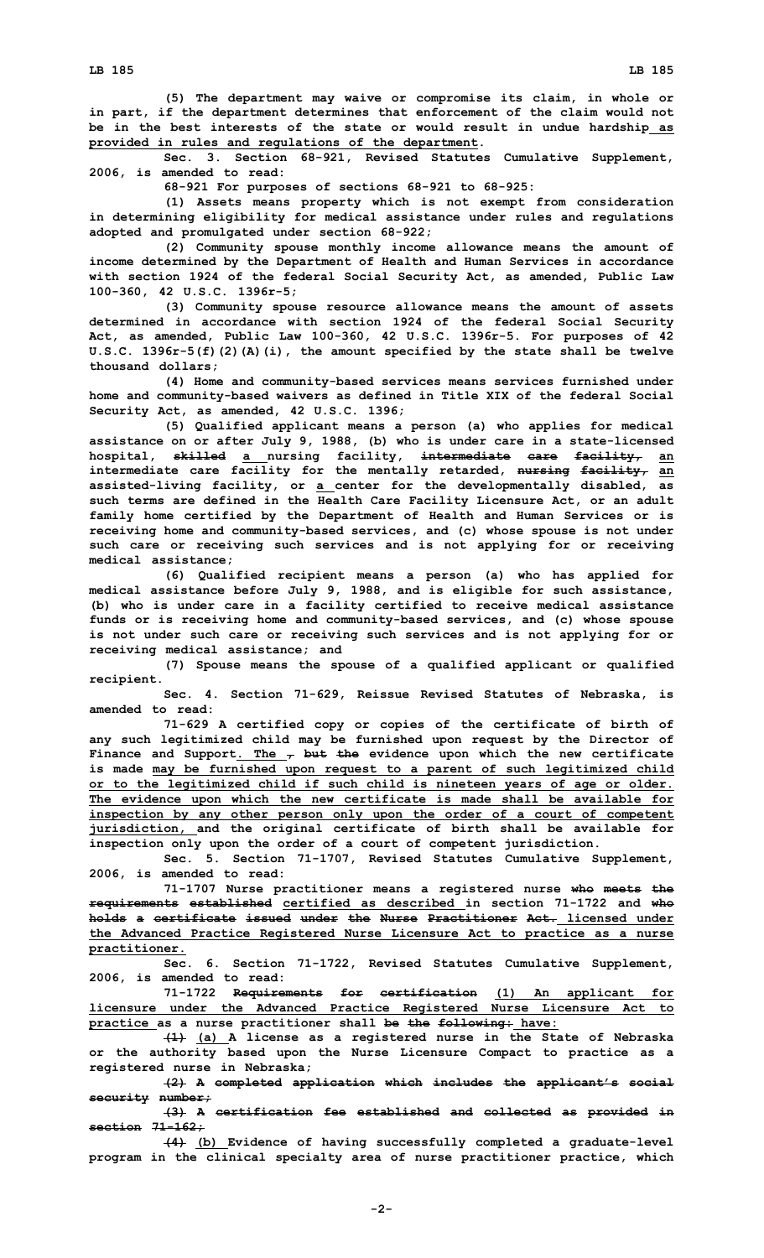**(5) The department may waive or compromise its claim, in whole or in part, if the department determines that enforcement of the claim would not be in the best interests of the state or would result in undue hardship as provided in rules and regulations of the department.**

**Sec. 3. Section 68-921, Revised Statutes Cumulative Supplement, 2006, is amended to read:**

**68-921 For purposes of sections 68-921 to 68-925:**

**(1) Assets means property which is not exempt from consideration in determining eligibility for medical assistance under rules and regulations adopted and promulgated under section 68-922;**

**(2) Community spouse monthly income allowance means the amount of income determined by the Department of Health and Human Services in accordance with section 1924 of the federal Social Security Act, as amended, Public Law 100-360, 42 U.S.C. 1396r-5;**

**(3) Community spouse resource allowance means the amount of assets determined in accordance with section 1924 of the federal Social Security Act, as amended, Public Law 100-360, 42 U.S.C. 1396r-5. For purposes of 42 U.S.C. 1396r-5(f)(2)(A)(i), the amount specified by the state shall be twelve thousand dollars;**

**(4) Home and community-based services means services furnished under home and community-based waivers as defined in Title XIX of the federal Social Security Act, as amended, 42 U.S.C. 1396;**

**(5) Qualified applicant means <sup>a</sup> person (a) who applies for medical assistance on or after July 9, 1988, (b) who is under care in <sup>a</sup> state-licensed hospital, skilled <sup>a</sup> nursing facility, intermediate care facility, an intermediate care facility for the mentally retarded, nursing facility, an assisted-living facility, or <sup>a</sup> center for the developmentally disabled, as such terms are defined in the Health Care Facility Licensure Act, or an adult family home certified by the Department of Health and Human Services or is receiving home and community-based services, and (c) whose spouse is not under such care or receiving such services and is not applying for or receiving medical assistance;**

**(6) Qualified recipient means <sup>a</sup> person (a) who has applied for medical assistance before July 9, 1988, and is eligible for such assistance, (b) who is under care in <sup>a</sup> facility certified to receive medical assistance funds or is receiving home and community-based services, and (c) whose spouse is not under such care or receiving such services and is not applying for or receiving medical assistance; and**

**(7) Spouse means the spouse of <sup>a</sup> qualified applicant or qualified recipient.**

**Sec. 4. Section 71-629, Reissue Revised Statutes of Nebraska, is amended to read:**

**71-629 <sup>A</sup> certified copy or copies of the certificate of birth of any such legitimized child may be furnished upon request by the Director of Finance and Support. The , but the evidence upon which the new certificate is made may be furnished upon request to <sup>a</sup> parent of such legitimized child or to the legitimized child if such child is nineteen years of age or older. The evidence upon which the new certificate is made shall be available for inspection by any other person only upon the order of <sup>a</sup> court of competent jurisdiction, and the original certificate of birth shall be available for inspection only upon the order of <sup>a</sup> court of competent jurisdiction.**

**Sec. 5. Section 71-1707, Revised Statutes Cumulative Supplement, 2006, is amended to read:**

**71-1707 Nurse practitioner means <sup>a</sup> registered nurse who meets the requirements established certified as described in section 71-1722 and who holds a certificate issued under the Nurse Practitioner Act. licensed under the Advanced Practice Registered Nurse Licensure Act to practice as <sup>a</sup> nurse practitioner.**

**Sec. 6. Section 71-1722, Revised Statutes Cumulative Supplement, 2006, is amended to read:**

**71-1722 Requirements for certification (1) An applicant for licensure under the Advanced Practice Registered Nurse Licensure Act to practice as <sup>a</sup> nurse practitioner shall be the following: have:**

**(1) (a) <sup>A</sup> license as <sup>a</sup> registered nurse in the State of Nebraska or the authority based upon the Nurse Licensure Compact to practice as <sup>a</sup> registered nurse in Nebraska;**

**(2) <sup>A</sup> completed application which includes the applicant's social security number;**

**(3) <sup>A</sup> certification fee established and collected as provided in section 71-162;**

**(4) (b) Evidence of having successfully completed <sup>a</sup> graduate-level program in the clinical specialty area of nurse practitioner practice, which**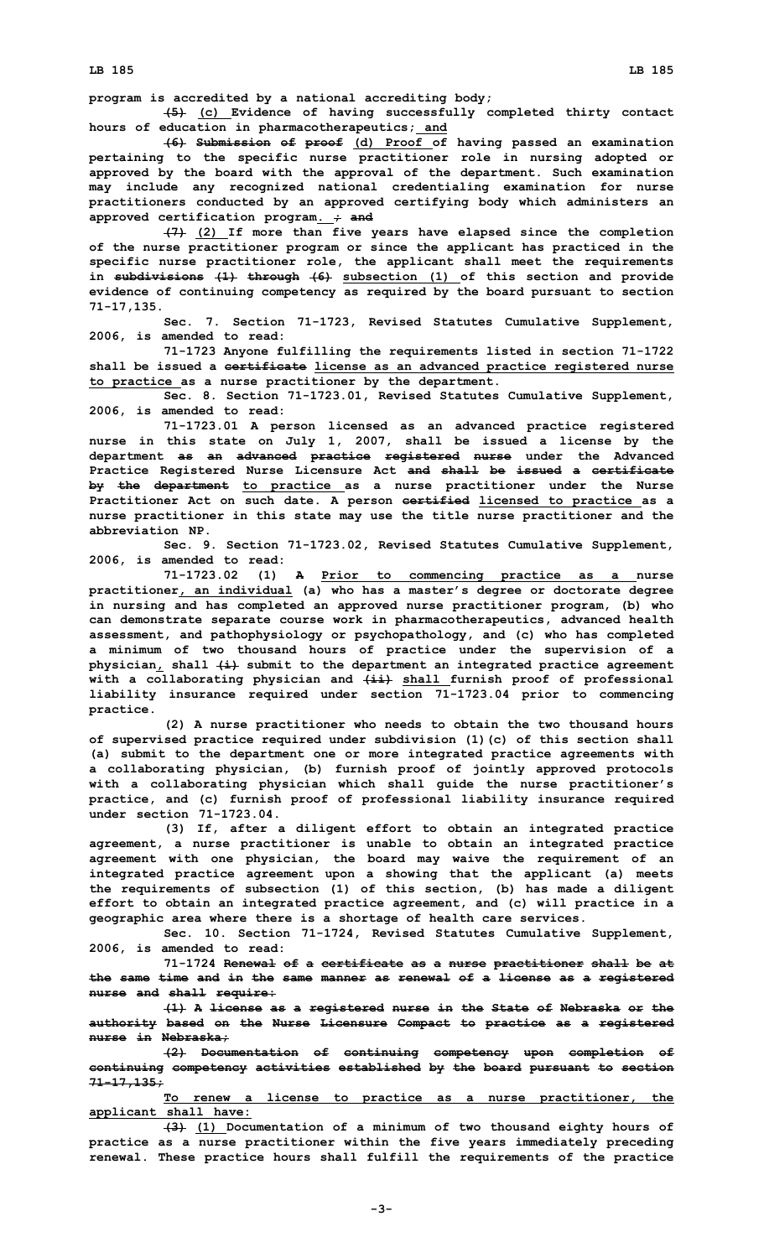**program is accredited by <sup>a</sup> national accrediting body;**

**(5) (c) Evidence of having successfully completed thirty contact hours of education in pharmacotherapeutics; and**

**(6) Submission of proof (d) Proof of having passed an examination pertaining to the specific nurse practitioner role in nursing adopted or approved by the board with the approval of the department. Such examination may include any recognized national credentialing examination for nurse practitioners conducted by an approved certifying body which administers an approved certification program. ; and**

**(7) (2) If more than five years have elapsed since the completion of the nurse practitioner program or since the applicant has practiced in the specific nurse practitioner role, the applicant shall meet the requirements in subdivisions (1) through (6) subsection (1) of this section and provide evidence of continuing competency as required by the board pursuant to section 71-17,135.**

**Sec. 7. Section 71-1723, Revised Statutes Cumulative Supplement, 2006, is amended to read:**

**71-1723 Anyone fulfilling the requirements listed in section 71-1722 shall be issued <sup>a</sup> certificate license as an advanced practice registered nurse to practice as <sup>a</sup> nurse practitioner by the department.**

**Sec. 8. Section 71-1723.01, Revised Statutes Cumulative Supplement, 2006, is amended to read:**

**71-1723.01 <sup>A</sup> person licensed as an advanced practice registered nurse in this state on July 1, 2007, shall be issued <sup>a</sup> license by the department as an advanced practice registered nurse under the Advanced Practice Registered Nurse Licensure Act and shall be issued <sup>a</sup> certificate by the department to practice as <sup>a</sup> nurse practitioner under the Nurse Practitioner Act on such date. A person certified licensed to practice as <sup>a</sup> nurse practitioner in this state may use the title nurse practitioner and the abbreviation NP.**

**Sec. 9. Section 71-1723.02, Revised Statutes Cumulative Supplement, 2006, is amended to read:**

**71-1723.02 (1) <sup>A</sup> Prior to commencing practice as <sup>a</sup> nurse practitioner, an individual (a) who has <sup>a</sup> master's degree or doctorate degree in nursing and has completed an approved nurse practitioner program, (b) who can demonstrate separate course work in pharmacotherapeutics, advanced health assessment, and pathophysiology or psychopathology, and (c) who has completed <sup>a</sup> minimum of two thousand hours of practice under the supervision of <sup>a</sup> physician, shall (i) submit to the department an integrated practice agreement with <sup>a</sup> collaborating physician and (ii) shall furnish proof of professional liability insurance required under section 71-1723.04 prior to commencing practice.**

**(2) <sup>A</sup> nurse practitioner who needs to obtain the two thousand hours of supervised practice required under subdivision (1)(c) of this section shall (a) submit to the department one or more integrated practice agreements with <sup>a</sup> collaborating physician, (b) furnish proof of jointly approved protocols with <sup>a</sup> collaborating physician which shall guide the nurse practitioner's practice, and (c) furnish proof of professional liability insurance required under section 71-1723.04.**

**(3) If, after <sup>a</sup> diligent effort to obtain an integrated practice agreement, <sup>a</sup> nurse practitioner is unable to obtain an integrated practice agreement with one physician, the board may waive the requirement of an integrated practice agreement upon <sup>a</sup> showing that the applicant (a) meets the requirements of subsection (1) of this section, (b) has made <sup>a</sup> diligent effort to obtain an integrated practice agreement, and (c) will practice in <sup>a</sup> geographic area where there is <sup>a</sup> shortage of health care services.**

**Sec. 10. Section 71-1724, Revised Statutes Cumulative Supplement, 2006, is amended to read:**

**71-1724 Renewal of <sup>a</sup> certificate as <sup>a</sup> nurse practitioner shall be at the same time and in the same manner as renewal of <sup>a</sup> license as <sup>a</sup> registered nurse and shall require:**

**(1) <sup>A</sup> license as <sup>a</sup> registered nurse in the State of Nebraska or the authority based on the Nurse Licensure Compact to practice as <sup>a</sup> registered nurse in Nebraska;**

**(2) Documentation of continuing competency upon completion of continuing competency activities established by the board pursuant to section 71-17,135;**

**To renew <sup>a</sup> license to practice as <sup>a</sup> nurse practitioner, the applicant shall have:**

**(3) (1) Documentation of <sup>a</sup> minimum of two thousand eighty hours of practice as <sup>a</sup> nurse practitioner within the five years immediately preceding renewal. These practice hours shall fulfill the requirements of the practice**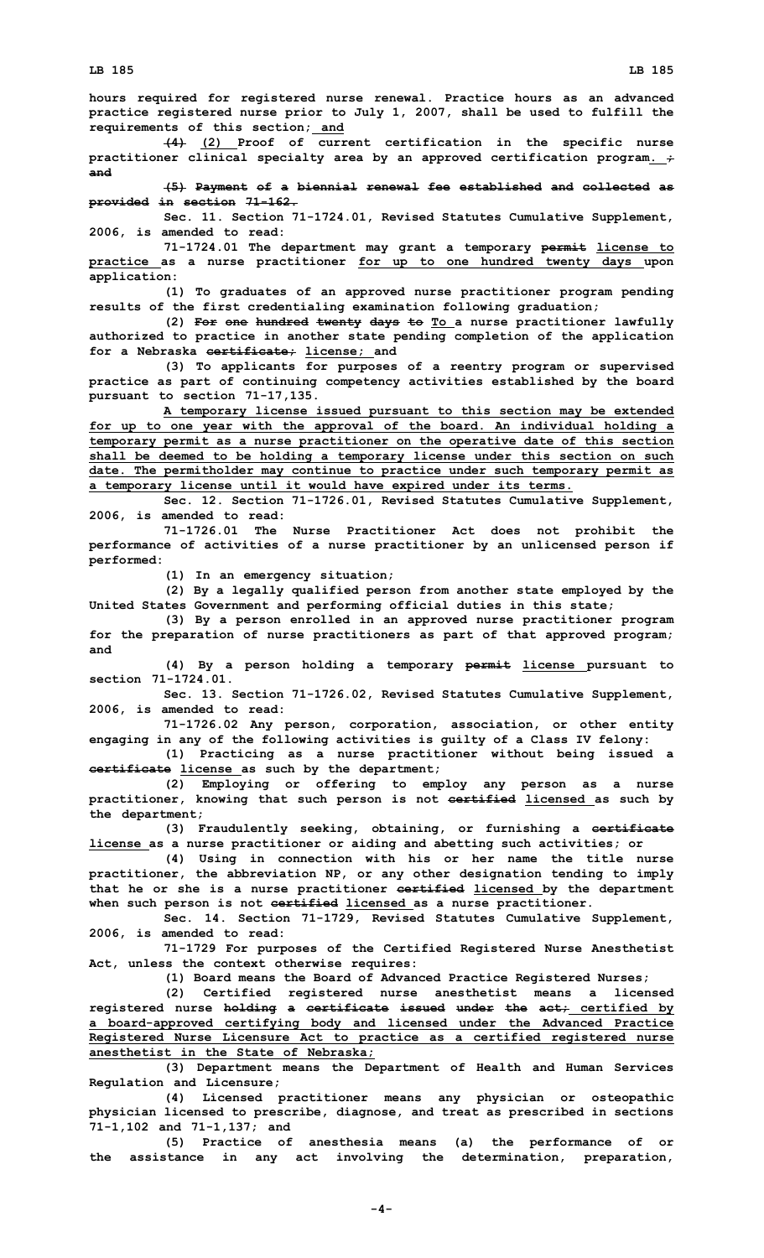**hours required for registered nurse renewal. Practice hours as an advanced practice registered nurse prior to July 1, 2007, shall be used to fulfill the requirements of this section; and**

**(4) (2) Proof of current certification in the specific nurse practitioner clinical specialty area by an approved certification program. ; and**

**(5) Payment of <sup>a</sup> biennial renewal fee established and collected as provided in section 71-162.**

**Sec. 11. Section 71-1724.01, Revised Statutes Cumulative Supplement, 2006, is amended to read:**

**71-1724.01 The department may grant <sup>a</sup> temporary permit license to practice as <sup>a</sup> nurse practitioner for up to one hundred twenty days upon application:**

**(1) To graduates of an approved nurse practitioner program pending results of the first credentialing examination following graduation;**

**(2) For one hundred twenty days to To <sup>a</sup> nurse practitioner lawfully authorized to practice in another state pending completion of the application for <sup>a</sup> Nebraska certificate; license; and**

**(3) To applicants for purposes of <sup>a</sup> reentry program or supervised practice as part of continuing competency activities established by the board pursuant to section 71-17,135.**

**A temporary license issued pursuant to this section may be extended for up to one year with the approval of the board. An individual holding <sup>a</sup> temporary permit as <sup>a</sup> nurse practitioner on the operative date of this section shall be deemed to be holding <sup>a</sup> temporary license under this section on such date. The permitholder may continue to practice under such temporary permit as <sup>a</sup> temporary license until it would have expired under its terms.**

**Sec. 12. Section 71-1726.01, Revised Statutes Cumulative Supplement, 2006, is amended to read:**

**71-1726.01 The Nurse Practitioner Act does not prohibit the performance of activities of <sup>a</sup> nurse practitioner by an unlicensed person if performed:**

**(1) In an emergency situation;**

**(2) By <sup>a</sup> legally qualified person from another state employed by the United States Government and performing official duties in this state;**

**(3) By <sup>a</sup> person enrolled in an approved nurse practitioner program for the preparation of nurse practitioners as part of that approved program; and**

**(4) By <sup>a</sup> person holding <sup>a</sup> temporary permit license pursuant to section 71-1724.01.**

**Sec. 13. Section 71-1726.02, Revised Statutes Cumulative Supplement, 2006, is amended to read:**

**71-1726.02 Any person, corporation, association, or other entity engaging in any of the following activities is guilty of <sup>a</sup> Class IV felony:**

**(1) Practicing as <sup>a</sup> nurse practitioner without being issued <sup>a</sup> certificate license as such by the department;**

**(2) Employing or offering to employ any person as <sup>a</sup> nurse practitioner, knowing that such person is not certified licensed as such by the department;**

**(3) Fraudulently seeking, obtaining, or furnishing <sup>a</sup> certificate license as <sup>a</sup> nurse practitioner or aiding and abetting such activities; or**

**(4) Using in connection with his or her name the title nurse practitioner, the abbreviation NP, or any other designation tending to imply that he or she is <sup>a</sup> nurse practitioner certified licensed by the department when such person is not certified licensed as <sup>a</sup> nurse practitioner.**

**Sec. 14. Section 71-1729, Revised Statutes Cumulative Supplement, 2006, is amended to read:**

**71-1729 For purposes of the Certified Registered Nurse Anesthetist Act, unless the context otherwise requires:**

**(1) Board means the Board of Advanced Practice Registered Nurses;**

**(2) Certified registered nurse anesthetist means <sup>a</sup> licensed registered nurse holding <sup>a</sup> certificate issued under the act; certified by <sup>a</sup> board-approved certifying body and licensed under the Advanced Practice Registered Nurse Licensure Act to practice as <sup>a</sup> certified registered nurse anesthetist in the State of Nebraska;**

**(3) Department means the Department of Health and Human Services Regulation and Licensure;**

**(4) Licensed practitioner means any physician or osteopathic physician licensed to prescribe, diagnose, and treat as prescribed in sections 71-1,102 and 71-1,137; and**

**(5) Practice of anesthesia means (a) the performance of or the assistance in any act involving the determination, preparation,**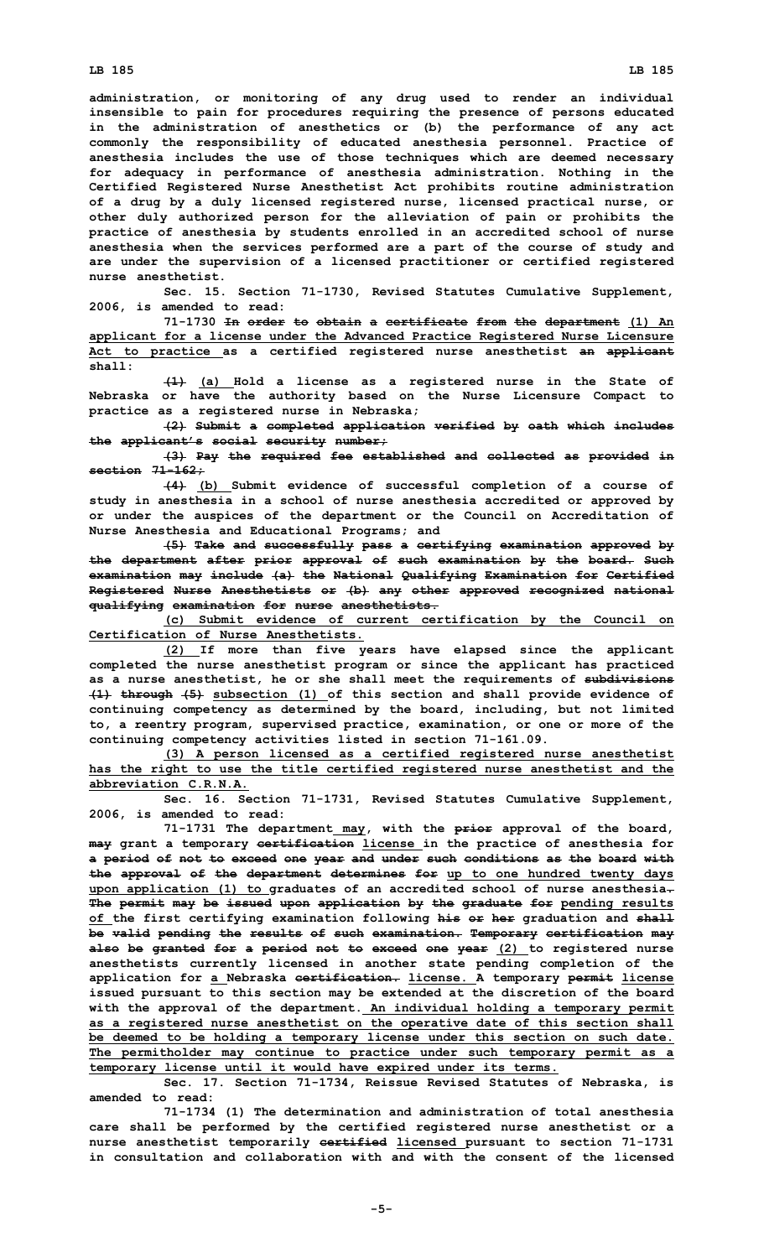**administration, or monitoring of any drug used to render an individual insensible to pain for procedures requiring the presence of persons educated in the administration of anesthetics or (b) the performance of any act commonly the responsibility of educated anesthesia personnel. Practice of anesthesia includes the use of those techniques which are deemed necessary for adequacy in performance of anesthesia administration. Nothing in the Certified Registered Nurse Anesthetist Act prohibits routine administration of <sup>a</sup> drug by <sup>a</sup> duly licensed registered nurse, licensed practical nurse, or other duly authorized person for the alleviation of pain or prohibits the practice of anesthesia by students enrolled in an accredited school of nurse anesthesia when the services performed are <sup>a</sup> part of the course of study and are under the supervision of <sup>a</sup> licensed practitioner or certified registered nurse anesthetist.**

**Sec. 15. Section 71-1730, Revised Statutes Cumulative Supplement, 2006, is amended to read:**

**71-1730 In order to obtain <sup>a</sup> certificate from the department (1) An applicant for <sup>a</sup> license under the Advanced Practice Registered Nurse Licensure Act to practice as <sup>a</sup> certified registered nurse anesthetist an applicant shall:**

**(1) (a) Hold <sup>a</sup> license as <sup>a</sup> registered nurse in the State of Nebraska or have the authority based on the Nurse Licensure Compact to practice as <sup>a</sup> registered nurse in Nebraska;**

**(2) Submit <sup>a</sup> completed application verified by oath which includes the applicant's social security number;**

**(3) Pay the required fee established and collected as provided in section 71-162;**

**(4) (b) Submit evidence of successful completion of <sup>a</sup> course of study in anesthesia in <sup>a</sup> school of nurse anesthesia accredited or approved by or under the auspices of the department or the Council on Accreditation of Nurse Anesthesia and Educational Programs; and**

**(5) Take and successfully pass <sup>a</sup> certifying examination approved by the department after prior approval of such examination by the board. Such examination may include (a) the National Qualifying Examination for Certified Registered Nurse Anesthetists or (b) any other approved recognized national qualifying examination for nurse anesthetists.**

**(c) Submit evidence of current certification by the Council on Certification of Nurse Anesthetists.**

**(2) If more than five years have elapsed since the applicant completed the nurse anesthetist program or since the applicant has practiced as <sup>a</sup> nurse anesthetist, he or she shall meet the requirements of subdivisions (1) through (5) subsection (1) of this section and shall provide evidence of continuing competency as determined by the board, including, but not limited to, <sup>a</sup> reentry program, supervised practice, examination, or one or more of the continuing competency activities listed in section 71-161.09.**

**(3) <sup>A</sup> person licensed as <sup>a</sup> certified registered nurse anesthetist has the right to use the title certified registered nurse anesthetist and the abbreviation C.R.N.A.**

**Sec. 16. Section 71-1731, Revised Statutes Cumulative Supplement, 2006, is amended to read:**

**71-1731 The department may, with the prior approval of the board, may grant <sup>a</sup> temporary certification license in the practice of anesthesia for <sup>a</sup> period of not to exceed one year and under such conditions as the board with the approval of the department determines for up to one hundred twenty days upon application (1) to graduates of an accredited school of nurse anesthesia. The permit may be issued upon application by the graduate for pending results of the first certifying examination following his or her graduation and shall be valid pending the results of such examination. Temporary certification may also be granted for <sup>a</sup> period not to exceed one year (2) to registered nurse anesthetists currently licensed in another state pending completion of the application for <sup>a</sup> Nebraska certification. license. A temporary permit license issued pursuant to this section may be extended at the discretion of the board with the approval of the department. An individual holding <sup>a</sup> temporary permit as <sup>a</sup> registered nurse anesthetist on the operative date of this section shall be deemed to be holding <sup>a</sup> temporary license under this section on such date. The permitholder may continue to practice under such temporary permit as <sup>a</sup> temporary license until it would have expired under its terms.**

**Sec. 17. Section 71-1734, Reissue Revised Statutes of Nebraska, is amended to read:**

**71-1734 (1) The determination and administration of total anesthesia care shall be performed by the certified registered nurse anesthetist or <sup>a</sup> nurse anesthetist temporarily certified licensed pursuant to section 71-1731 in consultation and collaboration with and with the consent of the licensed**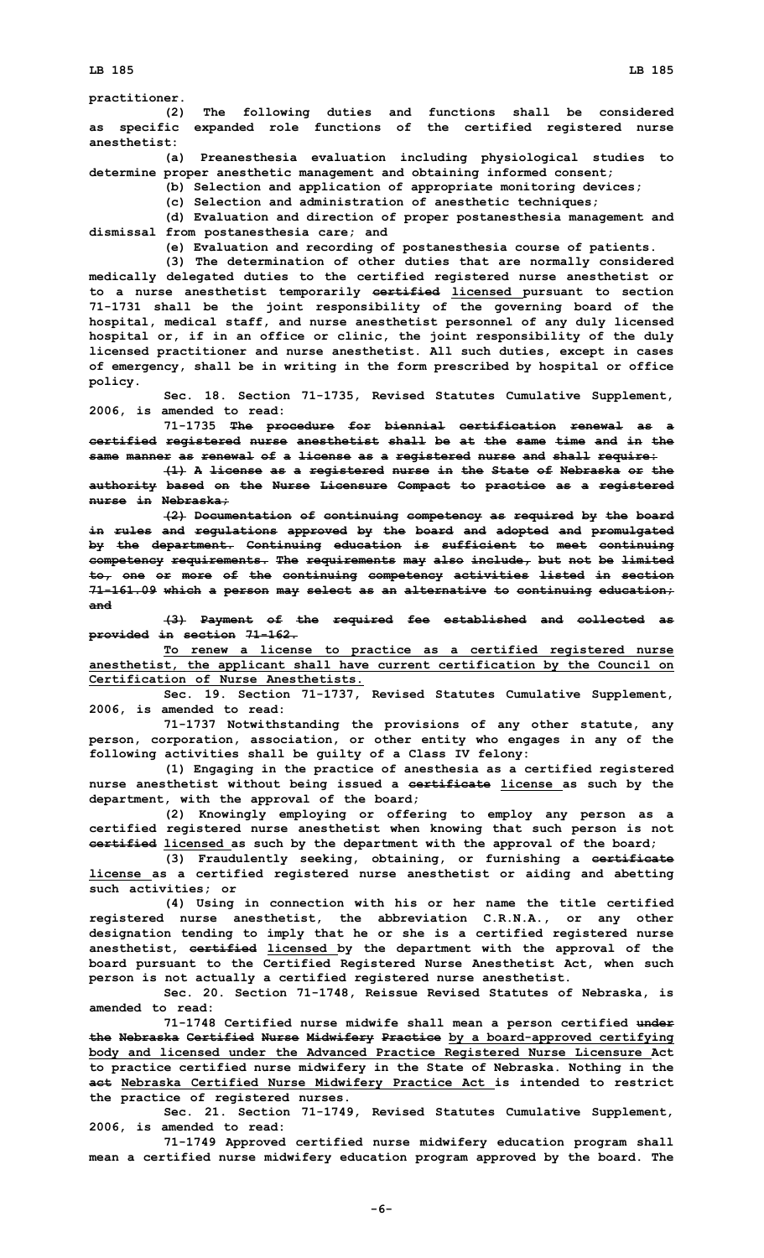**practitioner.**

**(2) The following duties and functions shall be considered as specific expanded role functions of the certified registered nurse anesthetist:**

**(a) Preanesthesia evaluation including physiological studies to determine proper anesthetic management and obtaining informed consent;**

**(b) Selection and application of appropriate monitoring devices;**

**(c) Selection and administration of anesthetic techniques;**

**(d) Evaluation and direction of proper postanesthesia management and dismissal from postanesthesia care; and**

**(e) Evaluation and recording of postanesthesia course of patients.**

**(3) The determination of other duties that are normally considered medically delegated duties to the certified registered nurse anesthetist or to <sup>a</sup> nurse anesthetist temporarily certified licensed pursuant to section 71-1731 shall be the joint responsibility of the governing board of the hospital, medical staff, and nurse anesthetist personnel of any duly licensed hospital or, if in an office or clinic, the joint responsibility of the duly licensed practitioner and nurse anesthetist. All such duties, except in cases of emergency, shall be in writing in the form prescribed by hospital or office policy.**

**Sec. 18. Section 71-1735, Revised Statutes Cumulative Supplement, 2006, is amended to read:**

**71-1735 The procedure for biennial certification renewal as <sup>a</sup> certified registered nurse anesthetist shall be at the same time and in the same manner as renewal of <sup>a</sup> license as <sup>a</sup> registered nurse and shall require:**

**(1) <sup>A</sup> license as <sup>a</sup> registered nurse in the State of Nebraska or the authority based on the Nurse Licensure Compact to practice as <sup>a</sup> registered nurse in Nebraska;**

**(2) Documentation of continuing competency as required by the board in rules and regulations approved by the board and adopted and promulgated by the department. Continuing education is sufficient to meet continuing competency requirements. The requirements may also include, but not be limited to, one or more of the continuing competency activities listed in section 71-161.09 which <sup>a</sup> person may select as an alternative to continuing education; and**

**(3) Payment of the required fee established and collected as provided in section 71-162.**

**To renew <sup>a</sup> license to practice as <sup>a</sup> certified registered nurse anesthetist, the applicant shall have current certification by the Council on Certification of Nurse Anesthetists.**

**Sec. 19. Section 71-1737, Revised Statutes Cumulative Supplement, 2006, is amended to read:**

**71-1737 Notwithstanding the provisions of any other statute, any person, corporation, association, or other entity who engages in any of the following activities shall be guilty of <sup>a</sup> Class IV felony:**

**(1) Engaging in the practice of anesthesia as <sup>a</sup> certified registered nurse anesthetist without being issued <sup>a</sup> certificate license as such by the department, with the approval of the board;**

**(2) Knowingly employing or offering to employ any person as <sup>a</sup> certified registered nurse anesthetist when knowing that such person is not certified licensed as such by the department with the approval of the board;**

**(3) Fraudulently seeking, obtaining, or furnishing <sup>a</sup> certificate license as <sup>a</sup> certified registered nurse anesthetist or aiding and abetting such activities; or**

**(4) Using in connection with his or her name the title certified registered nurse anesthetist, the abbreviation C.R.N.A., or any other designation tending to imply that he or she is <sup>a</sup> certified registered nurse anesthetist, certified licensed by the department with the approval of the board pursuant to the Certified Registered Nurse Anesthetist Act, when such person is not actually <sup>a</sup> certified registered nurse anesthetist.**

**Sec. 20. Section 71-1748, Reissue Revised Statutes of Nebraska, is amended to read:**

**71-1748 Certified nurse midwife shall mean <sup>a</sup> person certified under the Nebraska Certified Nurse Midwifery Practice by <sup>a</sup> board-approved certifying body and licensed under the Advanced Practice Registered Nurse Licensure Act to practice certified nurse midwifery in the State of Nebraska. Nothing in the act Nebraska Certified Nurse Midwifery Practice Act is intended to restrict the practice of registered nurses.**

**Sec. 21. Section 71-1749, Revised Statutes Cumulative Supplement, 2006, is amended to read:**

**71-1749 Approved certified nurse midwifery education program shall mean <sup>a</sup> certified nurse midwifery education program approved by the board. The**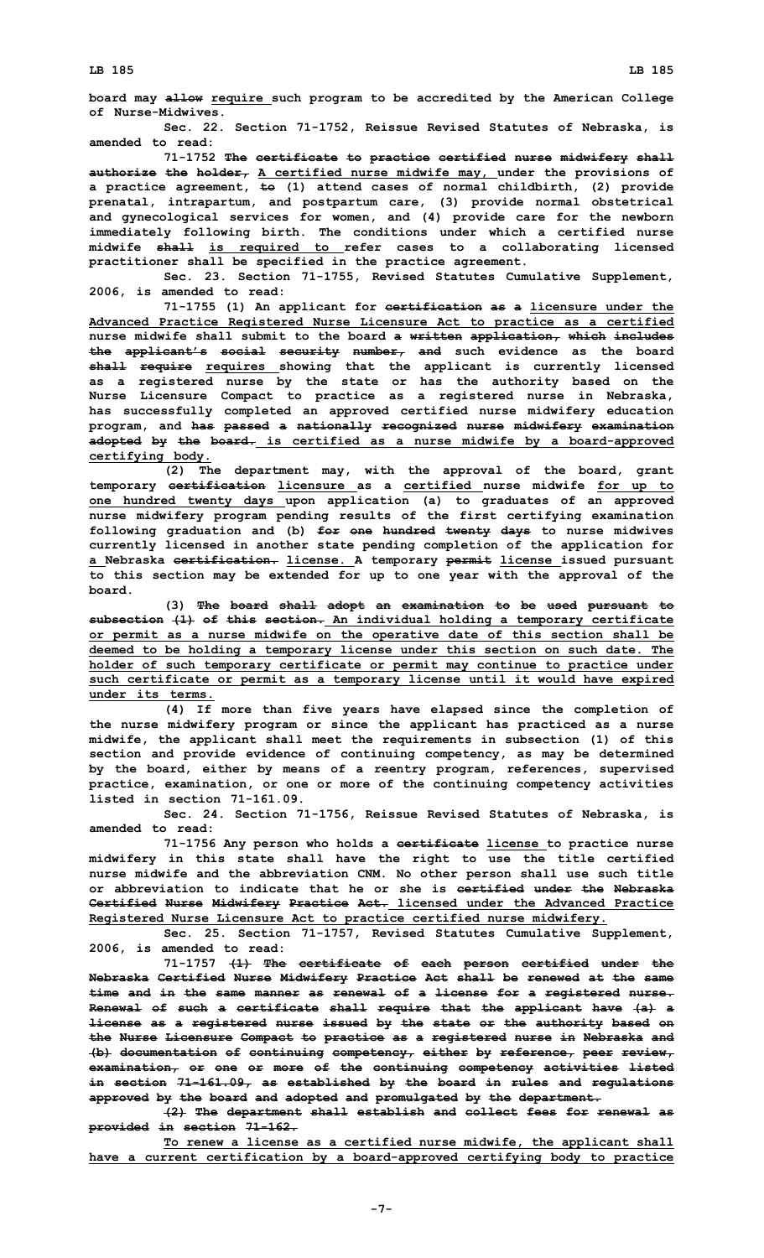**board may allow require such program to be accredited by the American College of Nurse-Midwives.**

**Sec. 22. Section 71-1752, Reissue Revised Statutes of Nebraska, is amended to read:**

**71-1752 The certificate to practice certified nurse midwifery shall authorize the holder, A certified nurse midwife may, under the provisions of <sup>a</sup> practice agreement, to (1) attend cases of normal childbirth, (2) provide prenatal, intrapartum, and postpartum care, (3) provide normal obstetrical and gynecological services for women, and (4) provide care for the newborn immediately following birth. The conditions under which <sup>a</sup> certified nurse midwife shall is required to refer cases to <sup>a</sup> collaborating licensed practitioner shall be specified in the practice agreement.**

**Sec. 23. Section 71-1755, Revised Statutes Cumulative Supplement, 2006, is amended to read:**

**71-1755 (1) An applicant for certification as <sup>a</sup> licensure under the Advanced Practice Registered Nurse Licensure Act to practice as <sup>a</sup> certified nurse midwife shall submit to the board <sup>a</sup> written application, which includes the applicant's social security number, and such evidence as the board shall require requires showing that the applicant is currently licensed as <sup>a</sup> registered nurse by the state or has the authority based on the Nurse Licensure Compact to practice as <sup>a</sup> registered nurse in Nebraska, has successfully completed an approved certified nurse midwifery education program, and has passed <sup>a</sup> nationally recognized nurse midwifery examination adopted by the board. is certified as <sup>a</sup> nurse midwife by <sup>a</sup> board-approved certifying body.**

**(2) The department may, with the approval of the board, grant temporary certification licensure as <sup>a</sup> certified nurse midwife for up to one hundred twenty days upon application (a) to graduates of an approved nurse midwifery program pending results of the first certifying examination following graduation and (b) for one hundred twenty days to nurse midwives currently licensed in another state pending completion of the application for <sup>a</sup> Nebraska certification. license. A temporary permit license issued pursuant to this section may be extended for up to one year with the approval of the board.**

**(3) The board shall adopt an examination to be used pursuant to subsection (1) of this section. An individual holding <sup>a</sup> temporary certificate or permit as <sup>a</sup> nurse midwife on the operative date of this section shall be deemed to be holding <sup>a</sup> temporary license under this section on such date. The holder of such temporary certificate or permit may continue to practice under such certificate or permit as <sup>a</sup> temporary license until it would have expired under its terms.**

**(4) If more than five years have elapsed since the completion of the nurse midwifery program or since the applicant has practiced as <sup>a</sup> nurse midwife, the applicant shall meet the requirements in subsection (1) of this section and provide evidence of continuing competency, as may be determined by the board, either by means of <sup>a</sup> reentry program, references, supervised practice, examination, or one or more of the continuing competency activities listed in section 71-161.09.**

**Sec. 24. Section 71-1756, Reissue Revised Statutes of Nebraska, is amended to read:**

**71-1756 Any person who holds <sup>a</sup> certificate license to practice nurse midwifery in this state shall have the right to use the title certified nurse midwife and the abbreviation CNM. No other person shall use such title or abbreviation to indicate that he or she is certified under the Nebraska Certified Nurse Midwifery Practice Act. licensed under the Advanced Practice Registered Nurse Licensure Act to practice certified nurse midwifery.**

**Sec. 25. Section 71-1757, Revised Statutes Cumulative Supplement, 2006, is amended to read:**

**71-1757 (1) The certificate of each person certified under the Nebraska Certified Nurse Midwifery Practice Act shall be renewed at the same time and in the same manner as renewal of <sup>a</sup> license for <sup>a</sup> registered nurse. Renewal of such <sup>a</sup> certificate shall require that the applicant have (a) <sup>a</sup> license as <sup>a</sup> registered nurse issued by the state or the authority based on the Nurse Licensure Compact to practice as <sup>a</sup> registered nurse in Nebraska and (b) documentation of continuing competency, either by reference, peer review, examination, or one or more of the continuing competency activities listed in section 71-161.09, as established by the board in rules and regulations approved by the board and adopted and promulgated by the department.**

**(2) The department shall establish and collect fees for renewal as provided in section 71-162.**

**To renew <sup>a</sup> license as <sup>a</sup> certified nurse midwife, the applicant shall have <sup>a</sup> current certification by <sup>a</sup> board-approved certifying body to practice**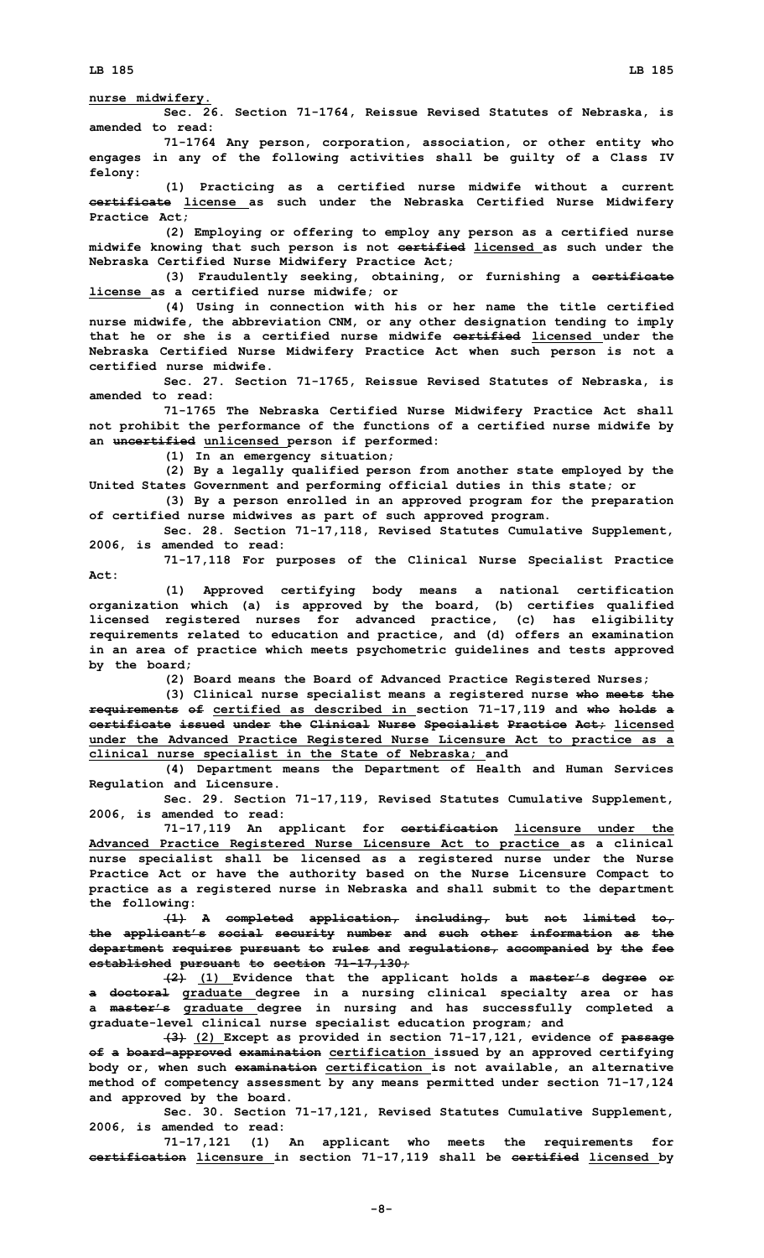**nurse midwifery.**

**Sec. 26. Section 71-1764, Reissue Revised Statutes of Nebraska, is amended to read:**

**71-1764 Any person, corporation, association, or other entity who engages in any of the following activities shall be guilty of <sup>a</sup> Class IV felony:**

**(1) Practicing as <sup>a</sup> certified nurse midwife without <sup>a</sup> current certificate license as such under the Nebraska Certified Nurse Midwifery Practice Act;**

**(2) Employing or offering to employ any person as <sup>a</sup> certified nurse midwife knowing that such person is not certified licensed as such under the Nebraska Certified Nurse Midwifery Practice Act;**

**(3) Fraudulently seeking, obtaining, or furnishing <sup>a</sup> certificate license as <sup>a</sup> certified nurse midwife; or**

**(4) Using in connection with his or her name the title certified nurse midwife, the abbreviation CNM, or any other designation tending to imply that he or she is a certified nurse midwife certified licensed under the Nebraska Certified Nurse Midwifery Practice Act when such person is not <sup>a</sup> certified nurse midwife.**

**Sec. 27. Section 71-1765, Reissue Revised Statutes of Nebraska, is amended to read:**

**71-1765 The Nebraska Certified Nurse Midwifery Practice Act shall not prohibit the performance of the functions of <sup>a</sup> certified nurse midwife by an uncertified unlicensed person if performed:**

**(1) In an emergency situation;**

**(2) By <sup>a</sup> legally qualified person from another state employed by the United States Government and performing official duties in this state; or**

**(3) By <sup>a</sup> person enrolled in an approved program for the preparation of certified nurse midwives as part of such approved program.**

**Sec. 28. Section 71-17,118, Revised Statutes Cumulative Supplement, 2006, is amended to read:**

**71-17,118 For purposes of the Clinical Nurse Specialist Practice Act:**

**(1) Approved certifying body means <sup>a</sup> national certification organization which (a) is approved by the board, (b) certifies qualified licensed registered nurses for advanced practice, (c) has eligibility requirements related to education and practice, and (d) offers an examination in an area of practice which meets psychometric guidelines and tests approved by the board;**

**(2) Board means the Board of Advanced Practice Registered Nurses;**

**(3) Clinical nurse specialist means <sup>a</sup> registered nurse who meets the requirements of certified as described in section 71-17,119 and who holds <sup>a</sup> certificate issued under the Clinical Nurse Specialist Practice Act; licensed under the Advanced Practice Registered Nurse Licensure Act to practice as <sup>a</sup> clinical nurse specialist in the State of Nebraska; and**

**(4) Department means the Department of Health and Human Services Regulation and Licensure.**

**Sec. 29. Section 71-17,119, Revised Statutes Cumulative Supplement, 2006, is amended to read:**

**71-17,119 An applicant for certification licensure under the Advanced Practice Registered Nurse Licensure Act to practice as <sup>a</sup> clinical nurse specialist shall be licensed as <sup>a</sup> registered nurse under the Nurse Practice Act or have the authority based on the Nurse Licensure Compact to practice as <sup>a</sup> registered nurse in Nebraska and shall submit to the department the following:**

**(1) <sup>A</sup> completed application, including, but not limited to, the applicant's social security number and such other information as the department requires pursuant to rules and regulations, accompanied by the fee established pursuant to section 71-17,130;**

**(2) (1) Evidence that the applicant holds <sup>a</sup> master's degree or <sup>a</sup> doctoral graduate degree in <sup>a</sup> nursing clinical specialty area or has <sup>a</sup> master's graduate degree in nursing and has successfully completed <sup>a</sup> graduate-level clinical nurse specialist education program; and**

**(3) (2) Except as provided in section 71-17,121, evidence of passage of <sup>a</sup> board-approved examination certification issued by an approved certifying body or, when such examination certification is not available, an alternative method of competency assessment by any means permitted under section 71-17,124 and approved by the board.**

**Sec. 30. Section 71-17,121, Revised Statutes Cumulative Supplement, 2006, is amended to read:**

**71-17,121 (1) An applicant who meets the requirements for certification licensure in section 71-17,119 shall be certified licensed by**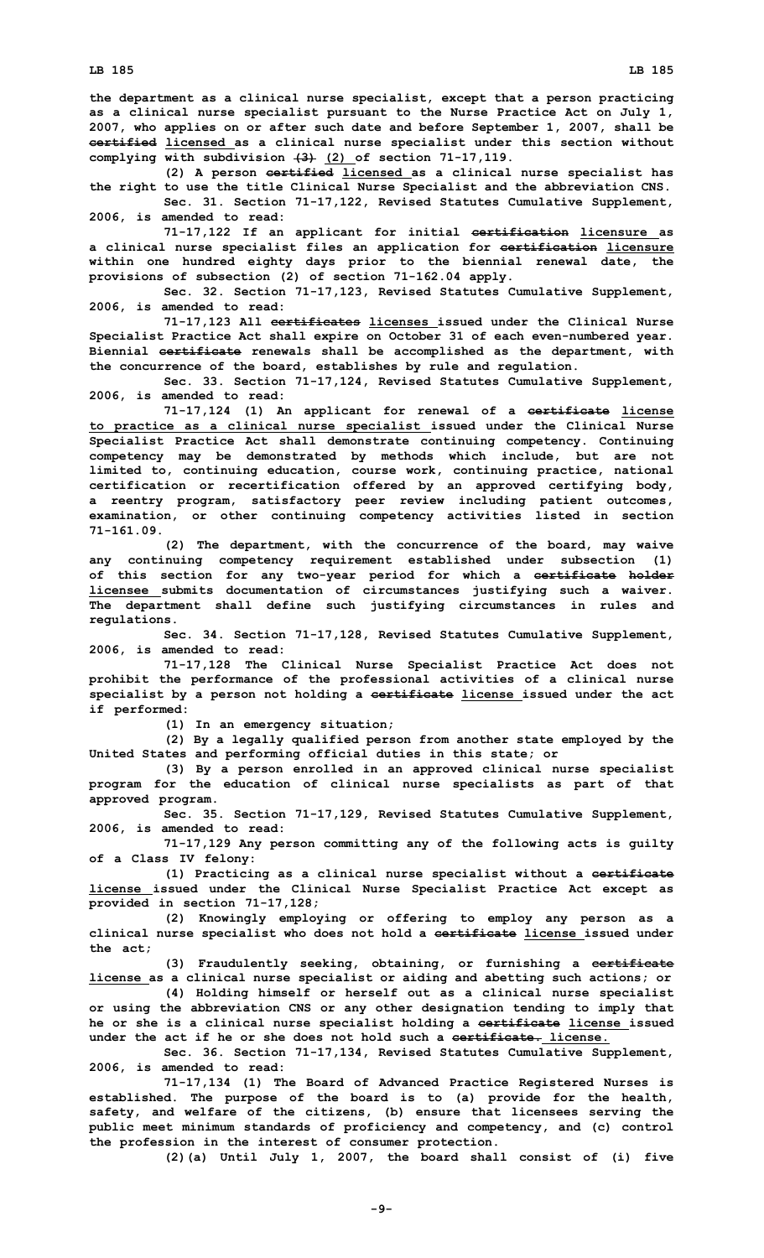**the department as <sup>a</sup> clinical nurse specialist, except that <sup>a</sup> person practicing as <sup>a</sup> clinical nurse specialist pursuant to the Nurse Practice Act on July 1, 2007, who applies on or after such date and before September 1, 2007, shall be certified licensed as <sup>a</sup> clinical nurse specialist under this section without complying with subdivision (3) (2) of section 71-17,119.**

**(2) <sup>A</sup> person certified licensed as <sup>a</sup> clinical nurse specialist has the right to use the title Clinical Nurse Specialist and the abbreviation CNS.**

**Sec. 31. Section 71-17,122, Revised Statutes Cumulative Supplement, 2006, is amended to read:**

**71-17,122 If an applicant for initial certification licensure as <sup>a</sup> clinical nurse specialist files an application for certification licensure within one hundred eighty days prior to the biennial renewal date, the provisions of subsection (2) of section 71-162.04 apply.**

**Sec. 32. Section 71-17,123, Revised Statutes Cumulative Supplement, 2006, is amended to read:**

**71-17,123 All certificates licenses issued under the Clinical Nurse Specialist Practice Act shall expire on October 31 of each even-numbered year. Biennial certificate renewals shall be accomplished as the department, with the concurrence of the board, establishes by rule and regulation.**

**Sec. 33. Section 71-17,124, Revised Statutes Cumulative Supplement, 2006, is amended to read:**

**71-17,124 (1) An applicant for renewal of <sup>a</sup> certificate license to practice as <sup>a</sup> clinical nurse specialist issued under the Clinical Nurse Specialist Practice Act shall demonstrate continuing competency. Continuing competency may be demonstrated by methods which include, but are not limited to, continuing education, course work, continuing practice, national certification or recertification offered by an approved certifying body, <sup>a</sup> reentry program, satisfactory peer review including patient outcomes, examination, or other continuing competency activities listed in section 71-161.09.**

**(2) The department, with the concurrence of the board, may waive any continuing competency requirement established under subsection (1) of this section for any two-year period for which <sup>a</sup> certificate holder licensee submits documentation of circumstances justifying such <sup>a</sup> waiver. The department shall define such justifying circumstances in rules and regulations.**

**Sec. 34. Section 71-17,128, Revised Statutes Cumulative Supplement, 2006, is amended to read:**

**71-17,128 The Clinical Nurse Specialist Practice Act does not prohibit the performance of the professional activities of <sup>a</sup> clinical nurse specialist by <sup>a</sup> person not holding <sup>a</sup> certificate license issued under the act if performed:**

**(1) In an emergency situation;**

**(2) By <sup>a</sup> legally qualified person from another state employed by the United States and performing official duties in this state; or**

**(3) By <sup>a</sup> person enrolled in an approved clinical nurse specialist program for the education of clinical nurse specialists as part of that approved program.**

**Sec. 35. Section 71-17,129, Revised Statutes Cumulative Supplement, 2006, is amended to read:**

**71-17,129 Any person committing any of the following acts is guilty of <sup>a</sup> Class IV felony:**

**(1) Practicing as <sup>a</sup> clinical nurse specialist without <sup>a</sup> certificate license issued under the Clinical Nurse Specialist Practice Act except as provided in section 71-17,128;**

**(2) Knowingly employing or offering to employ any person as <sup>a</sup> clinical nurse specialist who does not hold <sup>a</sup> certificate license issued under the act;**

**(3) Fraudulently seeking, obtaining, or furnishing <sup>a</sup> certificate license as <sup>a</sup> clinical nurse specialist or aiding and abetting such actions; or**

**(4) Holding himself or herself out as <sup>a</sup> clinical nurse specialist or using the abbreviation CNS or any other designation tending to imply that he or she is <sup>a</sup> clinical nurse specialist holding <sup>a</sup> certificate license issued under the act if he or she does not hold such a certificate. license.**

**Sec. 36. Section 71-17,134, Revised Statutes Cumulative Supplement, 2006, is amended to read:**

**71-17,134 (1) The Board of Advanced Practice Registered Nurses is established. The purpose of the board is to (a) provide for the health, safety, and welfare of the citizens, (b) ensure that licensees serving the public meet minimum standards of proficiency and competency, and (c) control the profession in the interest of consumer protection.**

**(2)(a) Until July 1, 2007, the board shall consist of (i) five**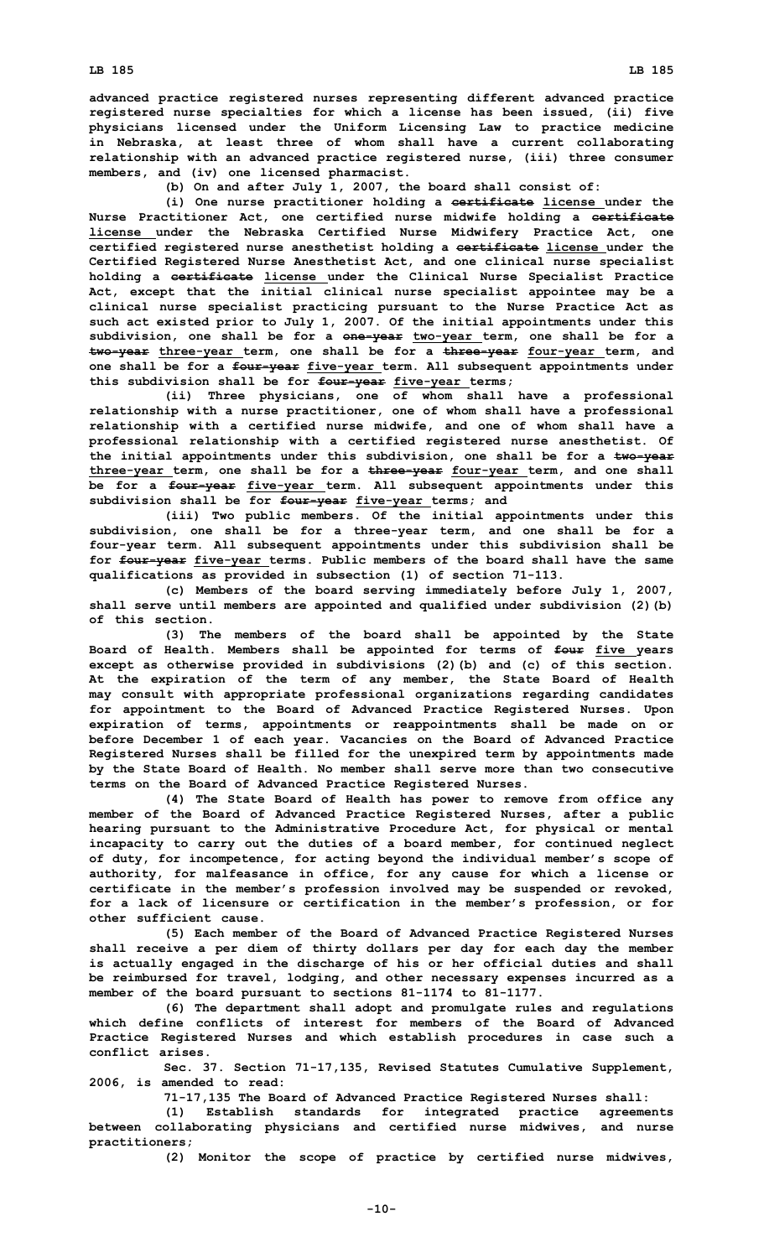**advanced practice registered nurses representing different advanced practice registered nurse specialties for which <sup>a</sup> license has been issued, (ii) five physicians licensed under the Uniform Licensing Law to practice medicine in Nebraska, at least three of whom shall have <sup>a</sup> current collaborating relationship with an advanced practice registered nurse, (iii) three consumer members, and (iv) one licensed pharmacist.**

**(b) On and after July 1, 2007, the board shall consist of:**

**(i) One nurse practitioner holding <sup>a</sup> certificate license under the Nurse Practitioner Act, one certified nurse midwife holding <sup>a</sup> certificate license under the Nebraska Certified Nurse Midwifery Practice Act, one certified registered nurse anesthetist holding <sup>a</sup> certificate license under the Certified Registered Nurse Anesthetist Act, and one clinical nurse specialist holding <sup>a</sup> certificate license under the Clinical Nurse Specialist Practice Act, except that the initial clinical nurse specialist appointee may be <sup>a</sup> clinical nurse specialist practicing pursuant to the Nurse Practice Act as such act existed prior to July 1, 2007. Of the initial appointments under this subdivision, one shall be for <sup>a</sup> one-year two-year term, one shall be for <sup>a</sup> two-year three-year term, one shall be for <sup>a</sup> three-year four-year term, and one shall be for <sup>a</sup> four-year five-year term. All subsequent appointments under this subdivision shall be for four-year five-year terms;**

**(ii) Three physicians, one of whom shall have <sup>a</sup> professional relationship with <sup>a</sup> nurse practitioner, one of whom shall have <sup>a</sup> professional relationship with <sup>a</sup> certified nurse midwife, and one of whom shall have <sup>a</sup> professional relationship with <sup>a</sup> certified registered nurse anesthetist. Of the initial appointments under this subdivision, one shall be for <sup>a</sup> two-year three-year term, one shall be for <sup>a</sup> three-year four-year term, and one shall be for <sup>a</sup> four-year five-year term. All subsequent appointments under this subdivision shall be for four-year five-year terms; and**

**(iii) Two public members. Of the initial appointments under this subdivision, one shall be for <sup>a</sup> three-year term, and one shall be for <sup>a</sup> four-year term. All subsequent appointments under this subdivision shall be for four-year five-year terms. Public members of the board shall have the same qualifications as provided in subsection (1) of section 71-113.**

**(c) Members of the board serving immediately before July 1, 2007, shall serve until members are appointed and qualified under subdivision (2)(b) of this section.**

**(3) The members of the board shall be appointed by the State Board of Health. Members shall be appointed for terms of four five years except as otherwise provided in subdivisions (2)(b) and (c) of this section. At the expiration of the term of any member, the State Board of Health may consult with appropriate professional organizations regarding candidates for appointment to the Board of Advanced Practice Registered Nurses. Upon expiration of terms, appointments or reappointments shall be made on or before December 1 of each year. Vacancies on the Board of Advanced Practice Registered Nurses shall be filled for the unexpired term by appointments made by the State Board of Health. No member shall serve more than two consecutive terms on the Board of Advanced Practice Registered Nurses.**

**(4) The State Board of Health has power to remove from office any member of the Board of Advanced Practice Registered Nurses, after <sup>a</sup> public hearing pursuant to the Administrative Procedure Act, for physical or mental incapacity to carry out the duties of <sup>a</sup> board member, for continued neglect of duty, for incompetence, for acting beyond the individual member's scope of authority, for malfeasance in office, for any cause for which <sup>a</sup> license or certificate in the member's profession involved may be suspended or revoked, for <sup>a</sup> lack of licensure or certification in the member's profession, or for other sufficient cause.**

**(5) Each member of the Board of Advanced Practice Registered Nurses shall receive <sup>a</sup> per diem of thirty dollars per day for each day the member is actually engaged in the discharge of his or her official duties and shall be reimbursed for travel, lodging, and other necessary expenses incurred as <sup>a</sup> member of the board pursuant to sections 81-1174 to 81-1177.**

**(6) The department shall adopt and promulgate rules and regulations which define conflicts of interest for members of the Board of Advanced Practice Registered Nurses and which establish procedures in case such <sup>a</sup> conflict arises.**

**Sec. 37. Section 71-17,135, Revised Statutes Cumulative Supplement, 2006, is amended to read:**

**71-17,135 The Board of Advanced Practice Registered Nurses shall:**

**(1) Establish standards for integrated practice agreements between collaborating physicians and certified nurse midwives, and nurse practitioners;**

**(2) Monitor the scope of practice by certified nurse midwives,**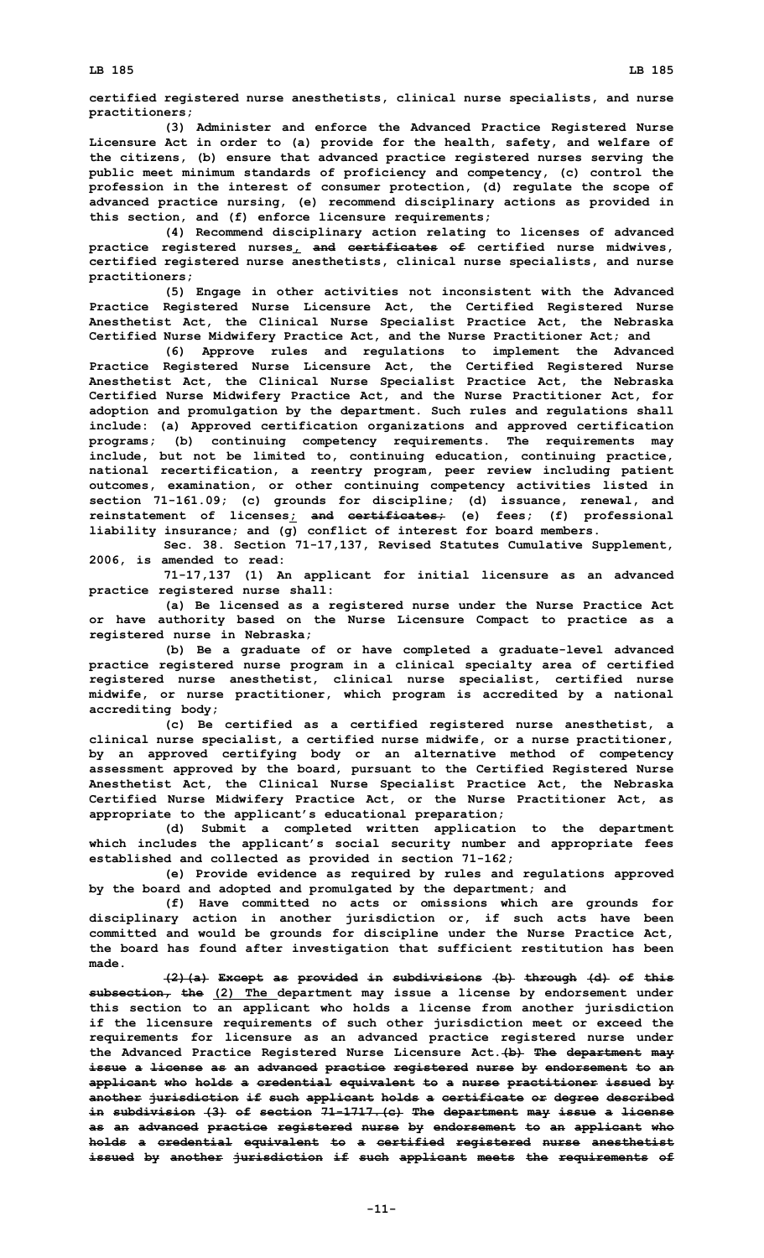**certified registered nurse anesthetists, clinical nurse specialists, and nurse practitioners;**

**(3) Administer and enforce the Advanced Practice Registered Nurse Licensure Act in order to (a) provide for the health, safety, and welfare of the citizens, (b) ensure that advanced practice registered nurses serving the public meet minimum standards of proficiency and competency, (c) control the profession in the interest of consumer protection, (d) regulate the scope of advanced practice nursing, (e) recommend disciplinary actions as provided in this section, and (f) enforce licensure requirements;**

**(4) Recommend disciplinary action relating to licenses of advanced practice registered nurses, and certificates of certified nurse midwives, certified registered nurse anesthetists, clinical nurse specialists, and nurse practitioners;**

**(5) Engage in other activities not inconsistent with the Advanced Practice Registered Nurse Licensure Act, the Certified Registered Nurse Anesthetist Act, the Clinical Nurse Specialist Practice Act, the Nebraska Certified Nurse Midwifery Practice Act, and the Nurse Practitioner Act; and**

**(6) Approve rules and regulations to implement the Advanced Practice Registered Nurse Licensure Act, the Certified Registered Nurse Anesthetist Act, the Clinical Nurse Specialist Practice Act, the Nebraska Certified Nurse Midwifery Practice Act, and the Nurse Practitioner Act, for adoption and promulgation by the department. Such rules and regulations shall include: (a) Approved certification organizations and approved certification programs; (b) continuing competency requirements. The requirements may include, but not be limited to, continuing education, continuing practice, national recertification, <sup>a</sup> reentry program, peer review including patient outcomes, examination, or other continuing competency activities listed in section 71-161.09; (c) grounds for discipline; (d) issuance, renewal, and reinstatement of licenses; and certificates; (e) fees; (f) professional liability insurance; and (g) conflict of interest for board members.**

**Sec. 38. Section 71-17,137, Revised Statutes Cumulative Supplement, 2006, is amended to read:**

**71-17,137 (1) An applicant for initial licensure as an advanced practice registered nurse shall:**

**(a) Be licensed as <sup>a</sup> registered nurse under the Nurse Practice Act or have authority based on the Nurse Licensure Compact to practice as <sup>a</sup> registered nurse in Nebraska;**

**(b) Be <sup>a</sup> graduate of or have completed <sup>a</sup> graduate-level advanced practice registered nurse program in <sup>a</sup> clinical specialty area of certified registered nurse anesthetist, clinical nurse specialist, certified nurse midwife, or nurse practitioner, which program is accredited by <sup>a</sup> national accrediting body;**

**(c) Be certified as <sup>a</sup> certified registered nurse anesthetist, <sup>a</sup> clinical nurse specialist, <sup>a</sup> certified nurse midwife, or <sup>a</sup> nurse practitioner, by an approved certifying body or an alternative method of competency assessment approved by the board, pursuant to the Certified Registered Nurse Anesthetist Act, the Clinical Nurse Specialist Practice Act, the Nebraska Certified Nurse Midwifery Practice Act, or the Nurse Practitioner Act, as appropriate to the applicant's educational preparation;**

**(d) Submit <sup>a</sup> completed written application to the department which includes the applicant's social security number and appropriate fees established and collected as provided in section 71-162;**

**(e) Provide evidence as required by rules and regulations approved by the board and adopted and promulgated by the department; and**

**(f) Have committed no acts or omissions which are grounds for disciplinary action in another jurisdiction or, if such acts have been committed and would be grounds for discipline under the Nurse Practice Act, the board has found after investigation that sufficient restitution has been made.**

**(2)(a) Except as provided in subdivisions (b) through (d) of this subsection, the (2) The department may issue <sup>a</sup> license by endorsement under this section to an applicant who holds <sup>a</sup> license from another jurisdiction if the licensure requirements of such other jurisdiction meet or exceed the requirements for licensure as an advanced practice registered nurse under the Advanced Practice Registered Nurse Licensure Act.(b) The department may issue <sup>a</sup> license as an advanced practice registered nurse by endorsement to an applicant who holds <sup>a</sup> credential equivalent to <sup>a</sup> nurse practitioner issued by another jurisdiction if such applicant holds <sup>a</sup> certificate or degree described in subdivision (3) of section 71-1717.(c) The department may issue <sup>a</sup> license as an advanced practice registered nurse by endorsement to an applicant who holds <sup>a</sup> credential equivalent to <sup>a</sup> certified registered nurse anesthetist issued by another jurisdiction if such applicant meets the requirements of**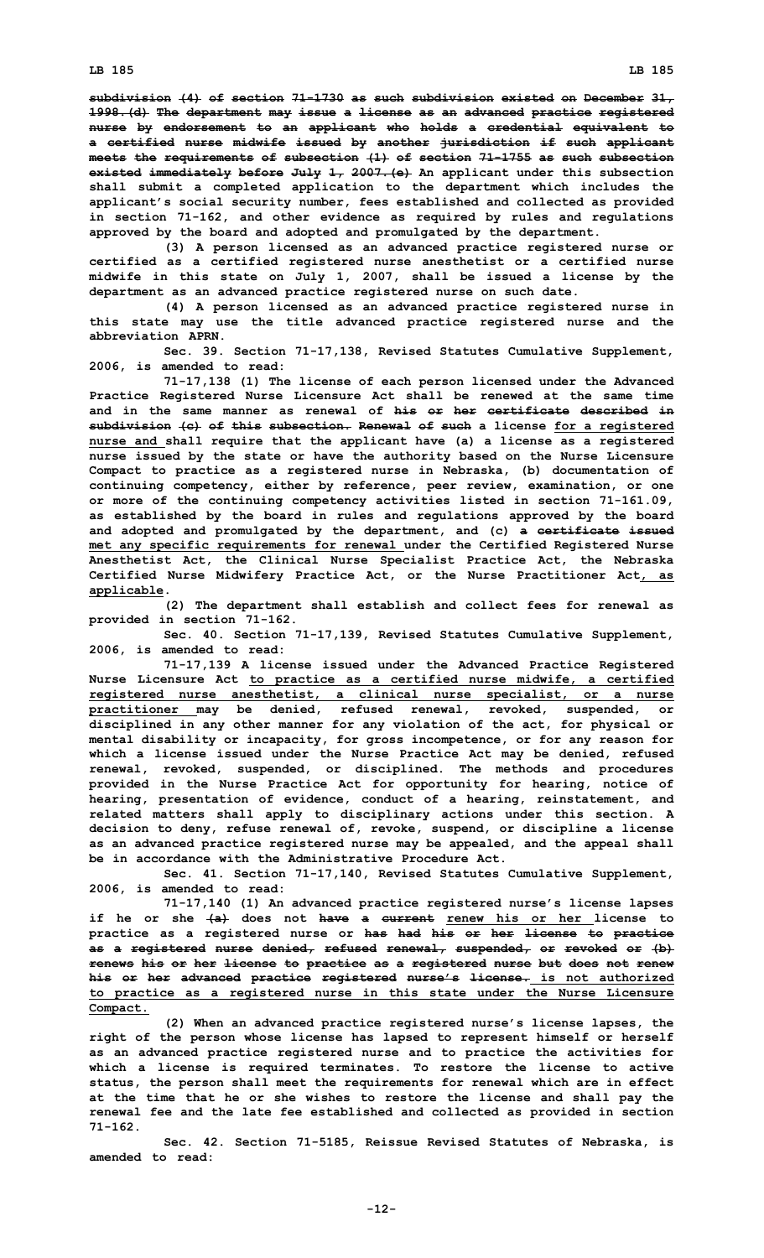**subdivision (4) of section 71-1730 as such subdivision existed on December 31, 1998.(d) The department may issue <sup>a</sup> license as an advanced practice registered nurse by endorsement to an applicant who holds <sup>a</sup> credential equivalent to <sup>a</sup> certified nurse midwife issued by another jurisdiction if such applicant meets the requirements of subsection (1) of section 71-1755 as such subsection existed immediately before July 1, 2007.(e) An applicant under this subsection shall submit <sup>a</sup> completed application to the department which includes the applicant's social security number, fees established and collected as provided in section 71-162, and other evidence as required by rules and regulations approved by the board and adopted and promulgated by the department.**

**(3) <sup>A</sup> person licensed as an advanced practice registered nurse or certified as <sup>a</sup> certified registered nurse anesthetist or <sup>a</sup> certified nurse midwife in this state on July 1, 2007, shall be issued <sup>a</sup> license by the department as an advanced practice registered nurse on such date.**

**(4) <sup>A</sup> person licensed as an advanced practice registered nurse in this state may use the title advanced practice registered nurse and the abbreviation APRN.**

**Sec. 39. Section 71-17,138, Revised Statutes Cumulative Supplement, 2006, is amended to read:**

**71-17,138 (1) The license of each person licensed under the Advanced Practice Registered Nurse Licensure Act shall be renewed at the same time and in the same manner as renewal of his or her certificate described in subdivision (c) of this subsection. Renewal of such <sup>a</sup> license for <sup>a</sup> registered nurse and shall require that the applicant have (a) <sup>a</sup> license as <sup>a</sup> registered nurse issued by the state or have the authority based on the Nurse Licensure Compact to practice as <sup>a</sup> registered nurse in Nebraska, (b) documentation of continuing competency, either by reference, peer review, examination, or one or more of the continuing competency activities listed in section 71-161.09, as established by the board in rules and regulations approved by the board and adopted and promulgated by the department, and (c) <sup>a</sup> certificate issued met any specific requirements for renewal under the Certified Registered Nurse Anesthetist Act, the Clinical Nurse Specialist Practice Act, the Nebraska Certified Nurse Midwifery Practice Act, or the Nurse Practitioner Act, as applicable.**

**(2) The department shall establish and collect fees for renewal as provided in section 71-162.**

**Sec. 40. Section 71-17,139, Revised Statutes Cumulative Supplement, 2006, is amended to read:**

**71-17,139 <sup>A</sup> license issued under the Advanced Practice Registered Nurse Licensure Act to practice as <sup>a</sup> certified nurse midwife, <sup>a</sup> certified registered nurse anesthetist, <sup>a</sup> clinical nurse specialist, or <sup>a</sup> nurse practitioner may be denied, refused renewal, revoked, suspended, or disciplined in any other manner for any violation of the act, for physical or mental disability or incapacity, for gross incompetence, or for any reason for which <sup>a</sup> license issued under the Nurse Practice Act may be denied, refused renewal, revoked, suspended, or disciplined. The methods and procedures provided in the Nurse Practice Act for opportunity for hearing, notice of hearing, presentation of evidence, conduct of <sup>a</sup> hearing, reinstatement, and related matters shall apply to disciplinary actions under this section. A decision to deny, refuse renewal of, revoke, suspend, or discipline <sup>a</sup> license as an advanced practice registered nurse may be appealed, and the appeal shall be in accordance with the Administrative Procedure Act.**

**Sec. 41. Section 71-17,140, Revised Statutes Cumulative Supplement, 2006, is amended to read:**

**71-17,140 (1) An advanced practice registered nurse's license lapses if he or she (a) does not have <sup>a</sup> current renew his or her license to practice as <sup>a</sup> registered nurse or has had his or her license to practice as <sup>a</sup> registered nurse denied, refused renewal, suspended, or revoked or (b) renews his or her license to practice as <sup>a</sup> registered nurse but does not renew his or her advanced practice registered nurse's license. is not authorized to practice as <sup>a</sup> registered nurse in this state under the Nurse Licensure Compact.**

**(2) When an advanced practice registered nurse's license lapses, the right of the person whose license has lapsed to represent himself or herself as an advanced practice registered nurse and to practice the activities for which <sup>a</sup> license is required terminates. To restore the license to active status, the person shall meet the requirements for renewal which are in effect at the time that he or she wishes to restore the license and shall pay the renewal fee and the late fee established and collected as provided in section 71-162.**

**Sec. 42. Section 71-5185, Reissue Revised Statutes of Nebraska, is amended to read:**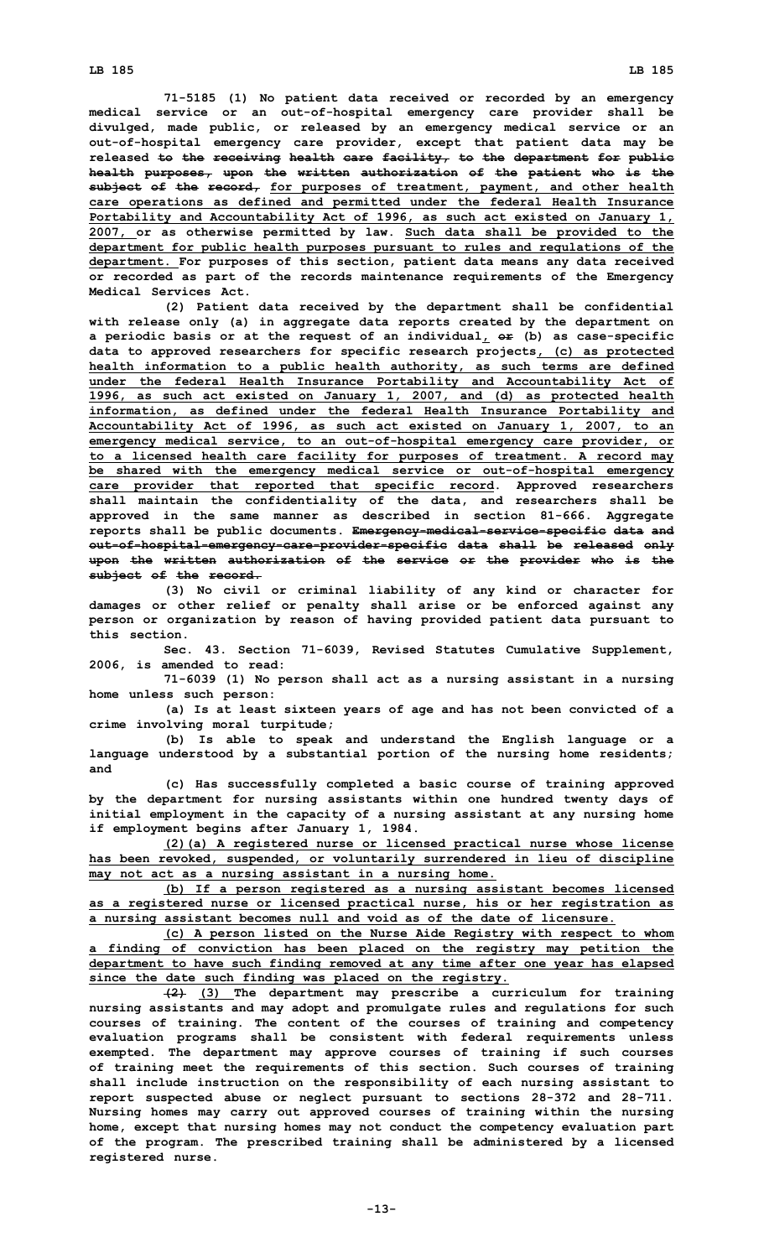**71-5185 (1) No patient data received or recorded by an emergency medical service or an out-of-hospital emergency care provider shall be divulged, made public, or released by an emergency medical service or an out-of-hospital emergency care provider, except that patient data may be released to the receiving health care facility, to the department for public health purposes, upon the written authorization of the patient who is the subject of the record, for purposes of treatment, payment, and other health care operations as defined and permitted under the federal Health Insurance Portability and Accountability Act of 1996, as such act existed on January 1, 2007, or as otherwise permitted by law. Such data shall be provided to the department for public health purposes pursuant to rules and regulations of the department. For purposes of this section, patient data means any data received or recorded as part of the records maintenance requirements of the Emergency Medical Services Act.**

**(2) Patient data received by the department shall be confidential with release only (a) in aggregate data reports created by the department on <sup>a</sup> periodic basis or at the request of an individual, or (b) as case-specific data to approved researchers for specific research projects, (c) as protected health information to <sup>a</sup> public health authority, as such terms are defined under the federal Health Insurance Portability and Accountability Act of 1996, as such act existed on January 1, 2007, and (d) as protected health information, as defined under the federal Health Insurance Portability and Accountability Act of 1996, as such act existed on January 1, 2007, to an emergency medical service, to an out-of-hospital emergency care provider, or to <sup>a</sup> licensed health care facility for purposes of treatment. A record may be shared with the emergency medical service or out-of-hospital emergency care provider that reported that specific record. Approved researchers shall maintain the confidentiality of the data, and researchers shall be approved in the same manner as described in section 81-666. Aggregate reports shall be public documents. Emergency-medical-service-specific data and out-of-hospital-emergency-care-provider-specific data shall be released only upon the written authorization of the service or the provider who is the subject of the record.**

**(3) No civil or criminal liability of any kind or character for damages or other relief or penalty shall arise or be enforced against any person or organization by reason of having provided patient data pursuant to this section.**

**Sec. 43. Section 71-6039, Revised Statutes Cumulative Supplement, 2006, is amended to read:**

**71-6039 (1) No person shall act as <sup>a</sup> nursing assistant in <sup>a</sup> nursing home unless such person:**

**(a) Is at least sixteen years of age and has not been convicted of <sup>a</sup> crime involving moral turpitude;**

**(b) Is able to speak and understand the English language or <sup>a</sup> language understood by <sup>a</sup> substantial portion of the nursing home residents; and**

**(c) Has successfully completed <sup>a</sup> basic course of training approved by the department for nursing assistants within one hundred twenty days of initial employment in the capacity of <sup>a</sup> nursing assistant at any nursing home if employment begins after January 1, 1984.**

**(2)(a) <sup>A</sup> registered nurse or licensed practical nurse whose license has been revoked, suspended, or voluntarily surrendered in lieu of discipline may not act as <sup>a</sup> nursing assistant in <sup>a</sup> nursing home.**

**(b) If <sup>a</sup> person registered as <sup>a</sup> nursing assistant becomes licensed as <sup>a</sup> registered nurse or licensed practical nurse, his or her registration as <sup>a</sup> nursing assistant becomes null and void as of the date of licensure.**

**(c) <sup>A</sup> person listed on the Nurse Aide Registry with respect to whom <sup>a</sup> finding of conviction has been placed on the registry may petition the department to have such finding removed at any time after one year has elapsed since the date such finding was placed on the registry.**

**(2) (3) The department may prescribe <sup>a</sup> curriculum for training nursing assistants and may adopt and promulgate rules and regulations for such courses of training. The content of the courses of training and competency evaluation programs shall be consistent with federal requirements unless exempted. The department may approve courses of training if such courses of training meet the requirements of this section. Such courses of training shall include instruction on the responsibility of each nursing assistant to report suspected abuse or neglect pursuant to sections 28-372 and 28-711. Nursing homes may carry out approved courses of training within the nursing home, except that nursing homes may not conduct the competency evaluation part of the program. The prescribed training shall be administered by <sup>a</sup> licensed registered nurse.**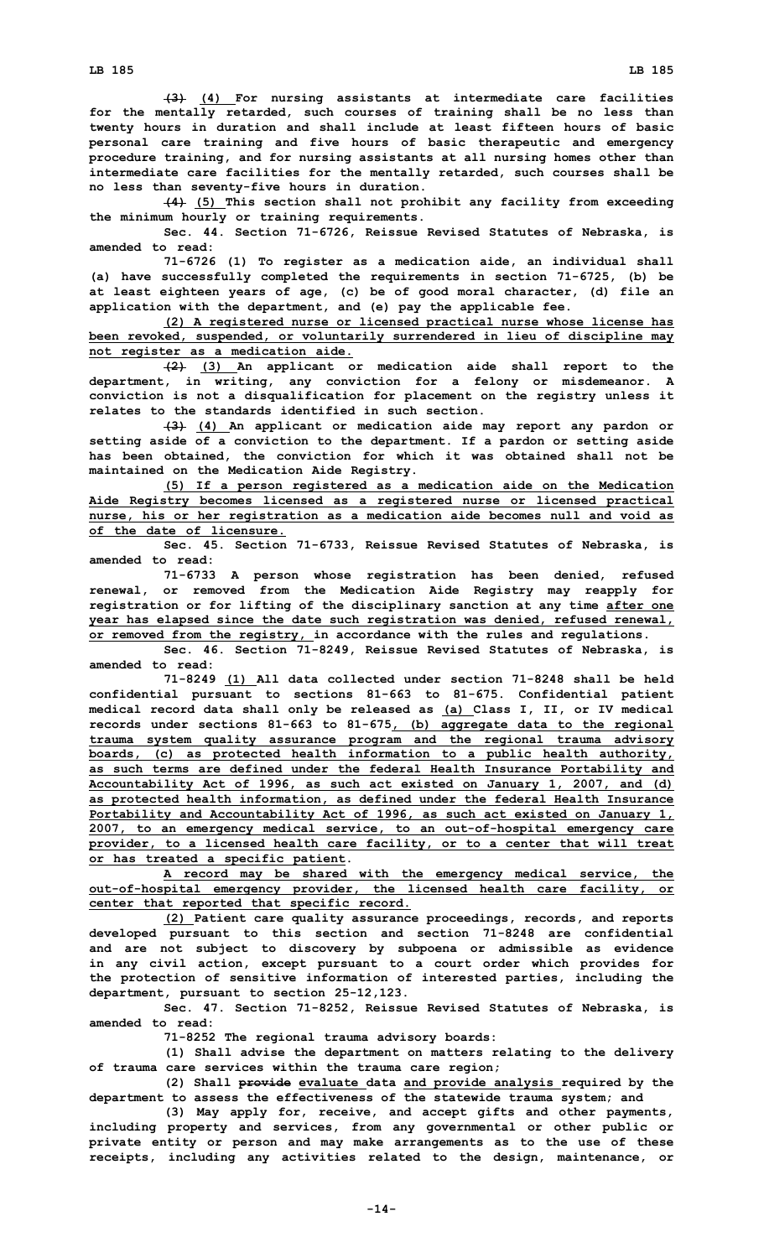**(3) (4) For nursing assistants at intermediate care facilities for the mentally retarded, such courses of training shall be no less than twenty hours in duration and shall include at least fifteen hours of basic personal care training and five hours of basic therapeutic and emergency procedure training, and for nursing assistants at all nursing homes other than intermediate care facilities for the mentally retarded, such courses shall be no less than seventy-five hours in duration.**

**(4) (5) This section shall not prohibit any facility from exceeding the minimum hourly or training requirements.**

**Sec. 44. Section 71-6726, Reissue Revised Statutes of Nebraska, is amended to read:**

**71-6726 (1) To register as <sup>a</sup> medication aide, an individual shall (a) have successfully completed the requirements in section 71-6725, (b) be at least eighteen years of age, (c) be of good moral character, (d) file an application with the department, and (e) pay the applicable fee.**

**(2) <sup>A</sup> registered nurse or licensed practical nurse whose license has been revoked, suspended, or voluntarily surrendered in lieu of discipline may not register as <sup>a</sup> medication aide.**

**(2) (3) An applicant or medication aide shall report to the department, in writing, any conviction for <sup>a</sup> felony or misdemeanor. A conviction is not <sup>a</sup> disqualification for placement on the registry unless it relates to the standards identified in such section.**

**(3) (4) An applicant or medication aide may report any pardon or setting aside of <sup>a</sup> conviction to the department. If <sup>a</sup> pardon or setting aside has been obtained, the conviction for which it was obtained shall not be maintained on the Medication Aide Registry.**

**(5) If <sup>a</sup> person registered as <sup>a</sup> medication aide on the Medication Aide Registry becomes licensed as <sup>a</sup> registered nurse or licensed practical nurse, his or her registration as <sup>a</sup> medication aide becomes null and void as of the date of licensure.**

**Sec. 45. Section 71-6733, Reissue Revised Statutes of Nebraska, is amended to read:**

**71-6733 <sup>A</sup> person whose registration has been denied, refused renewal, or removed from the Medication Aide Registry may reapply for registration or for lifting of the disciplinary sanction at any time after one year has elapsed since the date such registration was denied, refused renewal, or removed from the registry, in accordance with the rules and regulations.**

**Sec. 46. Section 71-8249, Reissue Revised Statutes of Nebraska, is amended to read:**

**71-8249 (1) All data collected under section 71-8248 shall be held confidential pursuant to sections 81-663 to 81-675. Confidential patient medical record data shall only be released as (a) Class I, II, or IV medical records under sections 81-663 to 81-675, (b) aggregate data to the regional trauma system quality assurance program and the regional trauma advisory boards, (c) as protected health information to <sup>a</sup> public health authority, as such terms are defined under the federal Health Insurance Portability and Accountability Act of 1996, as such act existed on January 1, 2007, and (d) as protected health information, as defined under the federal Health Insurance Portability and Accountability Act of 1996, as such act existed on January 1, 2007, to an emergency medical service, to an out-of-hospital emergency care provider, to <sup>a</sup> licensed health care facility, or to <sup>a</sup> center that will treat or has treated <sup>a</sup> specific patient.**

**A record may be shared with the emergency medical service, the out-of-hospital emergency provider, the licensed health care facility, or center that reported that specific record.**

**(2) Patient care quality assurance proceedings, records, and reports developed pursuant to this section and section 71-8248 are confidential and are not subject to discovery by subpoena or admissible as evidence in any civil action, except pursuant to <sup>a</sup> court order which provides for the protection of sensitive information of interested parties, including the department, pursuant to section 25-12,123.**

**Sec. 47. Section 71-8252, Reissue Revised Statutes of Nebraska, is amended to read:**

**71-8252 The regional trauma advisory boards:**

**(1) Shall advise the department on matters relating to the delivery of trauma care services within the trauma care region;**

**(2) Shall provide evaluate data and provide analysis required by the department to assess the effectiveness of the statewide trauma system; and**

**(3) May apply for, receive, and accept gifts and other payments, including property and services, from any governmental or other public or private entity or person and may make arrangements as to the use of these receipts, including any activities related to the design, maintenance, or**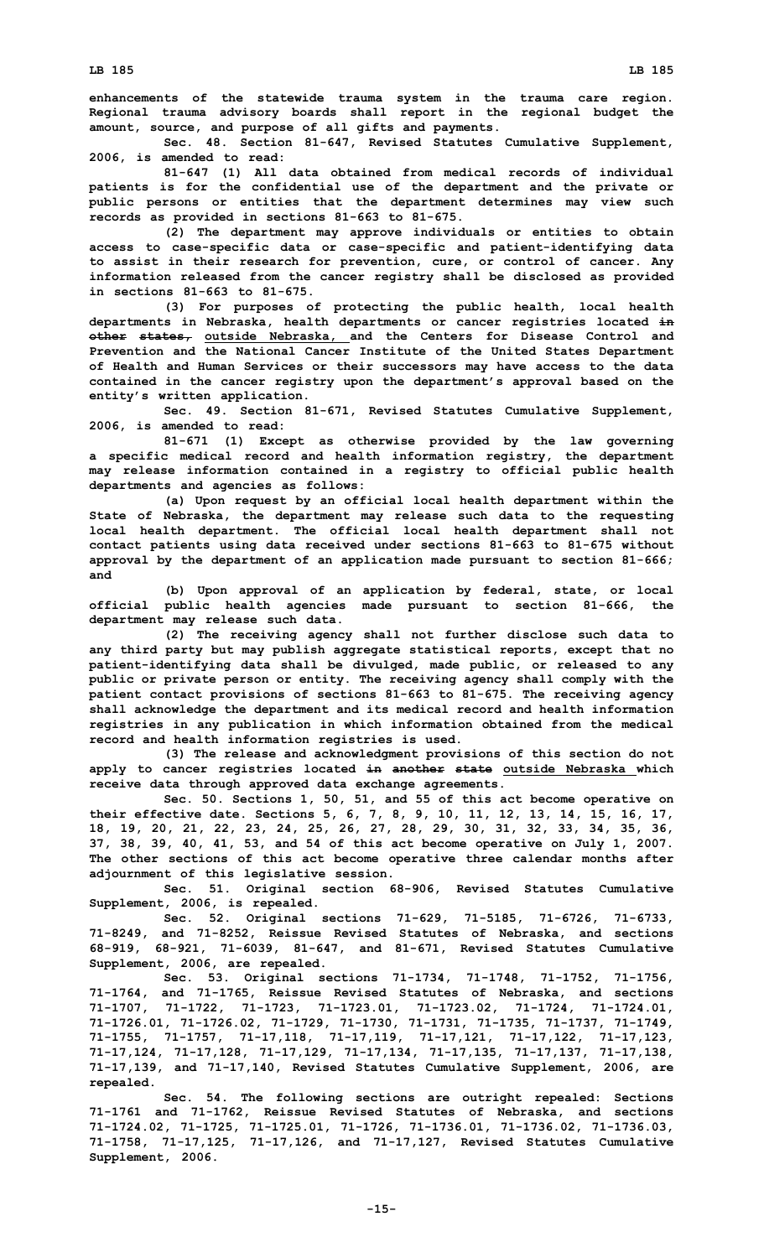**enhancements of the statewide trauma system in the trauma care region. Regional trauma advisory boards shall report in the regional budget the amount, source, and purpose of all gifts and payments.**

**Sec. 48. Section 81-647, Revised Statutes Cumulative Supplement, 2006, is amended to read:**

**81-647 (1) All data obtained from medical records of individual patients is for the confidential use of the department and the private or public persons or entities that the department determines may view such records as provided in sections 81-663 to 81-675.**

**(2) The department may approve individuals or entities to obtain access to case-specific data or case-specific and patient-identifying data to assist in their research for prevention, cure, or control of cancer. Any information released from the cancer registry shall be disclosed as provided in sections 81-663 to 81-675.**

**(3) For purposes of protecting the public health, local health departments in Nebraska, health departments or cancer registries located in other states, outside Nebraska, and the Centers for Disease Control and Prevention and the National Cancer Institute of the United States Department of Health and Human Services or their successors may have access to the data contained in the cancer registry upon the department's approval based on the entity's written application.**

**Sec. 49. Section 81-671, Revised Statutes Cumulative Supplement, 2006, is amended to read:**

**81-671 (1) Except as otherwise provided by the law governing <sup>a</sup> specific medical record and health information registry, the department may release information contained in <sup>a</sup> registry to official public health departments and agencies as follows:**

**(a) Upon request by an official local health department within the State of Nebraska, the department may release such data to the requesting local health department. The official local health department shall not contact patients using data received under sections 81-663 to 81-675 without approval by the department of an application made pursuant to section 81-666; and**

**(b) Upon approval of an application by federal, state, or local official public health agencies made pursuant to section 81-666, the department may release such data.**

**(2) The receiving agency shall not further disclose such data to any third party but may publish aggregate statistical reports, except that no patient-identifying data shall be divulged, made public, or released to any public or private person or entity. The receiving agency shall comply with the patient contact provisions of sections 81-663 to 81-675. The receiving agency shall acknowledge the department and its medical record and health information registries in any publication in which information obtained from the medical record and health information registries is used.**

**(3) The release and acknowledgment provisions of this section do not apply to cancer registries located in another state outside Nebraska which receive data through approved data exchange agreements.**

**Sec. 50. Sections 1, 50, 51, and 55 of this act become operative on their effective date. Sections 5, 6, 7, 8, 9, 10, 11, 12, 13, 14, 15, 16, 17, 18, 19, 20, 21, 22, 23, 24, 25, 26, 27, 28, 29, 30, 31, 32, 33, 34, 35, 36, 37, 38, 39, 40, 41, 53, and 54 of this act become operative on July 1, 2007. The other sections of this act become operative three calendar months after adjournment of this legislative session.**

**Sec. 51. Original section 68-906, Revised Statutes Cumulative Supplement, 2006, is repealed.**

**Sec. 52. Original sections 71-629, 71-5185, 71-6726, 71-6733, 71-8249, and 71-8252, Reissue Revised Statutes of Nebraska, and sections 68-919, 68-921, 71-6039, 81-647, and 81-671, Revised Statutes Cumulative Supplement, 2006, are repealed.**

**Sec. 53. Original sections 71-1734, 71-1748, 71-1752, 71-1756, 71-1764, and 71-1765, Reissue Revised Statutes of Nebraska, and sections 71-1707, 71-1722, 71-1723, 71-1723.01, 71-1723.02, 71-1724, 71-1724.01, 71-1726.01, 71-1726.02, 71-1729, 71-1730, 71-1731, 71-1735, 71-1737, 71-1749, 71-1755, 71-1757, 71-17,118, 71-17,119, 71-17,121, 71-17,122, 71-17,123, 71-17,124, 71-17,128, 71-17,129, 71-17,134, 71-17,135, 71-17,137, 71-17,138, 71-17,139, and 71-17,140, Revised Statutes Cumulative Supplement, 2006, are repealed.**

**Sec. 54. The following sections are outright repealed: Sections 71-1761 and 71-1762, Reissue Revised Statutes of Nebraska, and sections 71-1724.02, 71-1725, 71-1725.01, 71-1726, 71-1736.01, 71-1736.02, 71-1736.03, 71-1758, 71-17,125, 71-17,126, and 71-17,127, Revised Statutes Cumulative Supplement, 2006.**